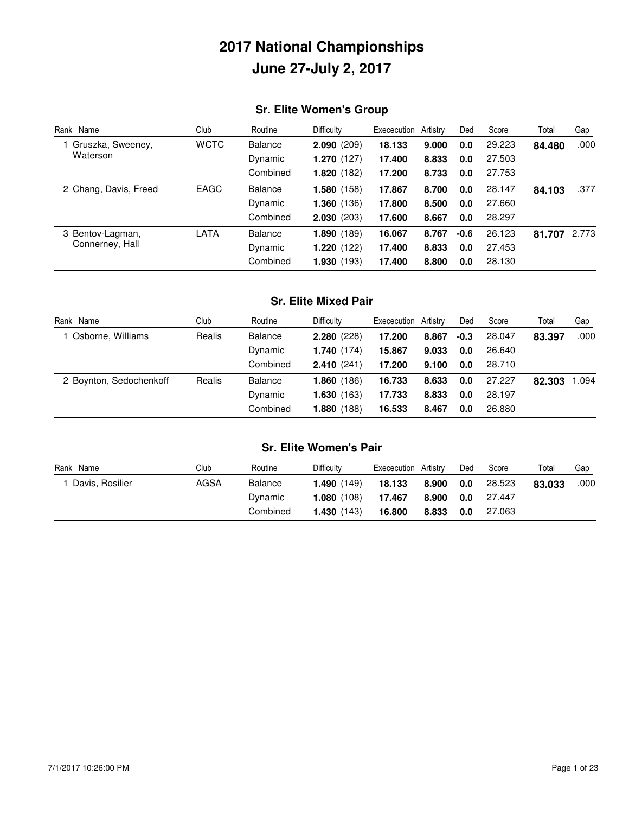## **Sr. Elite Women's Group**

| Rank Name             | Club        | Routine        | <b>Difficulty</b> | Exececution | Artistry | Ded    | Score  | Total  | Gap   |
|-----------------------|-------------|----------------|-------------------|-------------|----------|--------|--------|--------|-------|
| Gruszka, Sweeney,     | <b>WCTC</b> | <b>Balance</b> | 2.090(209)        | 18.133      | 9.000    | 0.0    | 29.223 | 84.480 | .000  |
| Waterson              |             | Dynamic        | 1.270(127)        | 17.400      | 8.833    | 0.0    | 27.503 |        |       |
|                       |             | Combined       | 1.820(182)        | 17.200      | 8.733    | 0.0    | 27.753 |        |       |
| 2 Chang, Davis, Freed | EAGC        | <b>Balance</b> | 1.580(158)        | 17.867      | 8.700    | 0.0    | 28.147 | 84.103 | .377  |
|                       |             | Dynamic        | 1.360(136)        | 17.800      | 8.500    | 0.0    | 27.660 |        |       |
|                       |             | Combined       | 2.030(203)        | 17.600      | 8.667    | 0.0    | 28.297 |        |       |
| 3 Bentov-Lagman,      | LATA        | <b>Balance</b> | 1.890(189)        | 16.067      | 8.767    | $-0.6$ | 26.123 | 81.707 | 2.773 |
| Connerney, Hall       |             | Dynamic        | 1.220(122)        | 17.400      | 8.833    | 0.0    | 27.453 |        |       |
|                       |             | Combined       | 1.930(193)        | 17.400      | 8.800    | 0.0    | 28.130 |        |       |

### **Sr. Elite Mixed Pair**

| Rank Name                | Club   | Routine        | <b>Difficulty</b> | Exececution Artistry |       | Ded  | Score  | Total  | Gap   |
|--------------------------|--------|----------------|-------------------|----------------------|-------|------|--------|--------|-------|
| <b>Osborne, Williams</b> | Realis | Balance        | 2.280(228)        | 17.200               | 8.867 | -0.3 | 28.047 | 83.397 | .000  |
|                          |        | Dynamic        | 1.740(174)        | 15.867               | 9.033 | 0.0  | 26.640 |        |       |
|                          |        | Combined       | 2.410(241)        | 17.200               | 9.100 | 0.0  | 28.710 |        |       |
| 2 Boynton, Sedochenkoff  | Realis | <b>Balance</b> | 1.860(186)        | 16.733               | 8.633 | 0.0  | 27.227 | 82.303 | 1.094 |
|                          |        | Dynamic        | 1.630(163)        | 17.733               | 8.833 | 0.0  | 28.197 |        |       |
|                          |        | Combined       | 1.880(188)        | 16.533               | 8.467 | 0.0  | 26,880 |        |       |

#### **Sr. Elite Women's Pair**

| Name<br>Rank    | Club | Routine        | <b>Difficulty</b>    | Exececution | Artistrv | Ded | Score  | Total  | Gap  |
|-----------------|------|----------------|----------------------|-------------|----------|-----|--------|--------|------|
| Davis, Rosilier | AGSA | <b>Balance</b> | <b>1.490</b> $(149)$ | 18.133      | 8.900    | 0.0 | 28.523 | 83.033 | .000 |
|                 |      | Dynamic        | <b>1.080</b> $(108)$ | 17.467      | 8.900    | 0.0 | 27.447 |        |      |
|                 |      | Combined       | 1.430(143)           | 16,800      | 8.833    | 0.0 | 27.063 |        |      |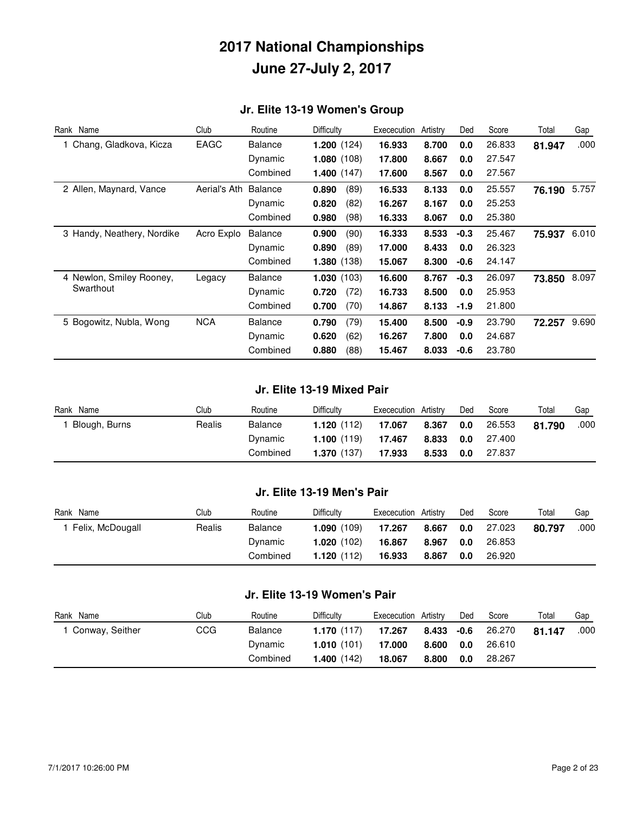### **Jr. Elite 13-19 Women's Group**

| Rank Name                  | Club         | Routine        | Difficulty           | Exececution | Artistry | Ded    | Score  | Total  | Gap   |
|----------------------------|--------------|----------------|----------------------|-------------|----------|--------|--------|--------|-------|
| 1 Chang, Gladkova, Kicza   | EAGC         | Balance        | 1.200(124)           | 16.933      | 8.700    | 0.0    | 26.833 | 81.947 | .000  |
|                            |              | Dynamic        | 1.080(108)           | 17.800      | 8.667    | 0.0    | 27.547 |        |       |
|                            |              | Combined       | <b>1.400</b> $(147)$ | 17.600      | 8.567    | 0.0    | 27.567 |        |       |
| 2 Allen, Maynard, Vance    | Aerial's Ath | <b>Balance</b> | 0.890<br>(89)        | 16.533      | 8.133    | 0.0    | 25.557 | 76.190 | 5.757 |
|                            |              | Dynamic        | (82)<br>0.820        | 16.267      | 8.167    | 0.0    | 25.253 |        |       |
|                            |              | Combined       | (98)<br>0.980        | 16.333      | 8.067    | 0.0    | 25.380 |        |       |
| 3 Handy, Neathery, Nordike | Acro Explo   | <b>Balance</b> | (90)<br>0.900        | 16.333      | 8.533    | $-0.3$ | 25.467 | 75.937 | 6.010 |
|                            |              | Dynamic        | 0.890<br>(89)        | 17.000      | 8.433    | 0.0    | 26.323 |        |       |
|                            |              | Combined       | 1.380(138)           | 15.067      | 8.300    | $-0.6$ | 24.147 |        |       |
| 4 Newlon, Smiley Rooney,   | Legacy       | <b>Balance</b> | 1.030(103)           | 16.600      | 8.767    | $-0.3$ | 26.097 | 73.850 | 8.097 |
| Swarthout                  |              | Dynamic        | 0.720<br>(72)        | 16.733      | 8.500    | 0.0    | 25.953 |        |       |
|                            |              | Combined       | (70)<br>0.700        | 14.867      | 8.133    | $-1.9$ | 21.800 |        |       |
| 5 Bogowitz, Nubla, Wong    | <b>NCA</b>   | Balance        | (79)<br>0.790        | 15.400      | 8.500    | $-0.9$ | 23.790 | 72.257 | 9.690 |
|                            |              | Dynamic        | 0.620<br>(62)        | 16.267      | 7.800    | 0.0    | 24.687 |        |       |
|                            |              | Combined       | (88)<br>0.880        | 15.467      | 8.033    | $-0.6$ | 23.780 |        |       |

#### **Jr. Elite 13-19 Mixed Pair**

| Name<br>Rank  | Club   | Routine        | <b>Difficulty</b>    | Exececution | Artistry | Ded | Score  | Total  | Gap  |
|---------------|--------|----------------|----------------------|-------------|----------|-----|--------|--------|------|
| Blough, Burns | Realis | <b>Balance</b> | 1.120(112)           | 17.067      | 8.367    | 0.0 | 26.553 | 81.790 | .000 |
|               |        | Dynamic        | <b>1.100</b> $(119)$ | 17.467      | 8.833    | 0.0 | 27.400 |        |      |
|               |        | Combined       | 1.370(137)           | 17.933      | 8.533    | 0.0 | 27.837 |        |      |

#### **Jr. Elite 13-19 Men's Pair**

| Rank Name        | Club   | Routine  | <b>Difficulty</b>    | Exececution Artistry |       | Ded | Score  | Total  | Gap  |
|------------------|--------|----------|----------------------|----------------------|-------|-----|--------|--------|------|
| Felix, McDougall | Realis | Balance  | 1.090(109)           | 17.267               | 8.667 | 0.0 | 27.023 | 80.797 | .000 |
|                  |        | Dynamic  | <b>1.020</b> $(102)$ | 16.867               | 8.967 | 0.0 | 26.853 |        |      |
|                  |        | Combined | 1.120(112)           | 16.933               | 8.867 | 0.0 | 26.920 |        |      |

#### **Jr. Elite 13-19 Women's Pair**

| Rank Name         | Club | Routine        | Difficulty           | Exececution | Artistry   | Ded | Score  | Total  | Gap  |
|-------------------|------|----------------|----------------------|-------------|------------|-----|--------|--------|------|
| 1 Conway, Seither | CCG  | <b>Balance</b> | 1.170(117)           | 17.267      | 8.433 -0.6 |     | 26.270 | 81.147 | .000 |
|                   |      | Dynamic        | 1.010(101)           | 17.000      | 8.600      | 0.0 | 26.610 |        |      |
|                   |      | Combined       | <b>1.400</b> $(142)$ | 18.067      | 8.800      | 0.0 | 28.267 |        |      |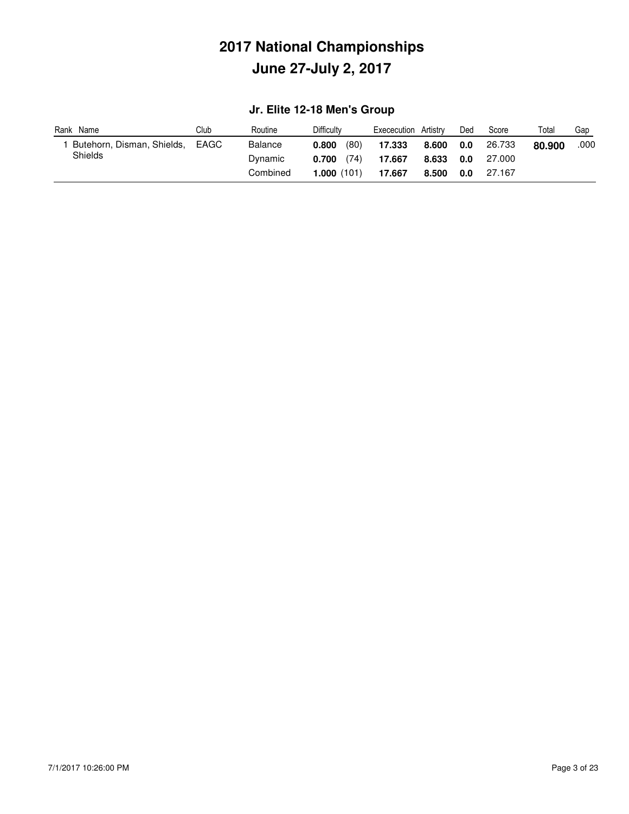### **Jr. Elite 12-18 Men's Group**

| Name<br>Rank               | Club | Routine        | <b>Difficulty</b> | Exececution | Artistrv | Ded | Score  | Total  | Gap  |
|----------------------------|------|----------------|-------------------|-------------|----------|-----|--------|--------|------|
| Butehorn, Disman, Shields, | EAGC | <b>Balance</b> | (80)<br>0.800     | 17.333      | 8.600    | 0.0 | 26.733 | 80.900 | .000 |
| Shields                    |      | Dynamic        | (74)<br>0.700     | 17.667      | 8.633    | 0.0 | 27.000 |        |      |
|                            |      | Combined       | 1.000(101)        | 17.667      | 8.500    | 0.0 | 27.167 |        |      |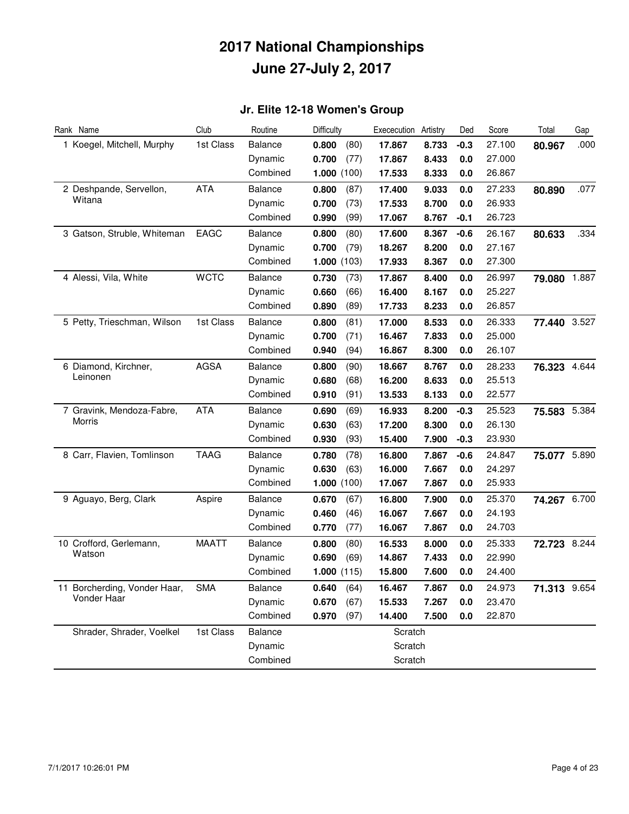### **Jr. Elite 12-18 Women's Group**

| Rank Name                    | Club         | Routine        | Difficulty    | Exececution | Artistry | Ded    | Score  | Total        | Gap  |
|------------------------------|--------------|----------------|---------------|-------------|----------|--------|--------|--------------|------|
| 1 Koegel, Mitchell, Murphy   | 1st Class    | <b>Balance</b> | 0.800<br>(80) | 17.867      | 8.733    | $-0.3$ | 27.100 | 80.967       | .000 |
|                              |              | Dynamic        | 0.700<br>(77) | 17.867      | 8.433    | 0.0    | 27.000 |              |      |
|                              |              | Combined       | 1.000(100)    | 17.533      | 8.333    | 0.0    | 26.867 |              |      |
| 2 Deshpande, Servellon,      | <b>ATA</b>   | <b>Balance</b> | 0.800<br>(87) | 17.400      | 9.033    | 0.0    | 27.233 | 80.890       | .077 |
| Witana                       |              | Dynamic        | (73)<br>0.700 | 17.533      | 8.700    | 0.0    | 26.933 |              |      |
|                              |              | Combined       | 0.990<br>(99) | 17.067      | 8.767    | $-0.1$ | 26.723 |              |      |
| 3 Gatson, Struble, Whiteman  | EAGC         | <b>Balance</b> | 0.800<br>(80) | 17.600      | 8.367    | $-0.6$ | 26.167 | 80.633       | .334 |
|                              |              | Dynamic        | 0.700<br>(79) | 18.267      | 8.200    | 0.0    | 27.167 |              |      |
|                              |              | Combined       | 1.000(103)    | 17.933      | 8.367    | 0.0    | 27.300 |              |      |
| 4 Alessi, Vila, White        | <b>WCTC</b>  | <b>Balance</b> | (73)<br>0.730 | 17.867      | 8.400    | 0.0    | 26.997 | 79.080 1.887 |      |
|                              |              | Dynamic        | 0.660<br>(66) | 16.400      | 8.167    | 0.0    | 25.227 |              |      |
|                              |              | Combined       | (89)<br>0.890 | 17.733      | 8.233    | 0.0    | 26.857 |              |      |
| 5 Petty, Trieschman, Wilson  | 1st Class    | <b>Balance</b> | (81)<br>0.800 | 17.000      | 8.533    | 0.0    | 26.333 | 77.440 3.527 |      |
|                              |              | Dynamic        | (71)<br>0.700 | 16.467      | 7.833    | 0.0    | 25.000 |              |      |
|                              |              | Combined       | (94)<br>0.940 | 16.867      | 8.300    | 0.0    | 26.107 |              |      |
| 6 Diamond, Kirchner,         | <b>AGSA</b>  | <b>Balance</b> | 0.800<br>(90) | 18.667      | 8.767    | 0.0    | 28.233 | 76.323 4.644 |      |
| Leinonen                     |              | Dynamic        | 0.680<br>(68) | 16.200      | 8.633    | 0.0    | 25.513 |              |      |
|                              |              | Combined       | (91)<br>0.910 | 13.533      | 8.133    | 0.0    | 22.577 |              |      |
| 7 Gravink, Mendoza-Fabre,    | <b>ATA</b>   | <b>Balance</b> | (69)<br>0.690 | 16.933      | 8.200    | $-0.3$ | 25.523 | 75.583 5.384 |      |
| Morris                       |              | Dynamic        | (63)<br>0.630 | 17.200      | 8.300    | 0.0    | 26.130 |              |      |
|                              |              | Combined       | 0.930<br>(93) | 15.400      | 7.900    | $-0.3$ | 23.930 |              |      |
| 8 Carr, Flavien, Tomlinson   | <b>TAAG</b>  | <b>Balance</b> | 0.780<br>(78) | 16.800      | 7.867    | $-0.6$ | 24.847 | 75.077 5.890 |      |
|                              |              | Dynamic        | 0.630<br>(63) | 16.000      | 7.667    | 0.0    | 24.297 |              |      |
|                              |              | Combined       | 1.000(100)    | 17.067      | 7.867    | 0.0    | 25.933 |              |      |
| 9 Aguayo, Berg, Clark        | Aspire       | <b>Balance</b> | (67)<br>0.670 | 16.800      | 7.900    | 0.0    | 25.370 | 74.267 6.700 |      |
|                              |              | Dynamic        | 0.460<br>(46) | 16.067      | 7.667    | 0.0    | 24.193 |              |      |
|                              |              | Combined       | 0.770<br>(77) | 16.067      | 7.867    | 0.0    | 24.703 |              |      |
| 10 Crofford, Gerlemann,      | <b>MAATT</b> | <b>Balance</b> | 0.800<br>(80) | 16.533      | 8.000    | 0.0    | 25.333 | 72.723 8.244 |      |
| Watson                       |              | Dynamic        | 0.690<br>(69) | 14.867      | 7.433    | 0.0    | 22.990 |              |      |
|                              |              | Combined       | 1.000(115)    | 15.800      | 7.600    | 0.0    | 24.400 |              |      |
| 11 Borcherding, Vonder Haar, | <b>SMA</b>   | Balance        | 0.640<br>(64) | 16.467      | 7.867    | 0.0    | 24.973 | 71.313 9.654 |      |
| Vonder Haar                  |              | Dynamic        | 0.670<br>(67) | 15.533      | 7.267    | 0.0    | 23.470 |              |      |
|                              |              | Combined       | 0.970<br>(97) | 14.400      | 7.500    | 0.0    | 22.870 |              |      |
| Shrader, Shrader, Voelkel    | 1st Class    | <b>Balance</b> |               | Scratch     |          |        |        |              |      |
|                              |              | Dynamic        |               | Scratch     |          |        |        |              |      |
|                              |              | Combined       |               | Scratch     |          |        |        |              |      |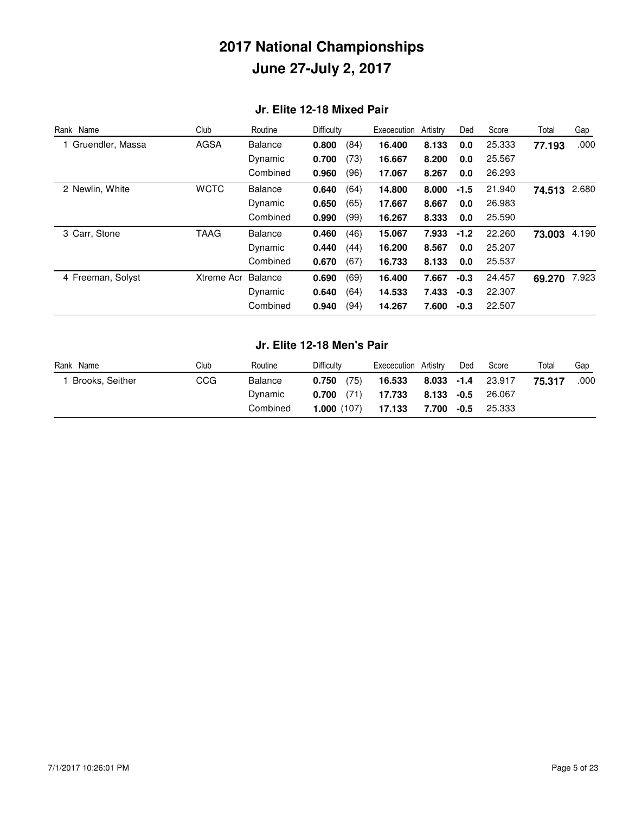#### **Jr. Elite 12-18 Mixed Pair**

| Rank Name         | Club        | Routine        | Difficulty |      | Exececution | Artistry | Ded    | Score  | Total  | Gap   |
|-------------------|-------------|----------------|------------|------|-------------|----------|--------|--------|--------|-------|
| Gruendler, Massa  | <b>AGSA</b> | <b>Balance</b> | 0.800      | (84) | 16.400      | 8.133    | 0.0    | 25.333 | 77.193 | .000  |
|                   |             | Dynamic        | 0.700      | (73) | 16.667      | 8.200    | 0.0    | 25.567 |        |       |
|                   |             | Combined       | 0.960      | (96) | 17.067      | 8.267    | 0.0    | 26.293 |        |       |
| 2 Newlin, White   | <b>WCTC</b> | <b>Balance</b> | 0.640      | (64) | 14.800      | 8.000    | $-1.5$ | 21.940 | 74.513 | 2.680 |
|                   |             | Dynamic        | 0.650      | (65) | 17.667      | 8.667    | 0.0    | 26.983 |        |       |
|                   |             | Combined       | 0.990      | (99) | 16.267      | 8.333    | 0.0    | 25.590 |        |       |
| 3 Carr, Stone     | TAAG        | <b>Balance</b> | 0.460      | (46) | 15.067      | 7.933    | $-1.2$ | 22.260 | 73.003 | 4.190 |
|                   |             | Dynamic        | 0.440      | (44) | 16.200      | 8.567    | 0.0    | 25.207 |        |       |
|                   |             | Combined       | 0.670      | (67) | 16.733      | 8.133    | 0.0    | 25.537 |        |       |
| 4 Freeman, Solyst | Xtreme Acr  | <b>Balance</b> | 0.690      | (69) | 16.400      | 7.667    | $-0.3$ | 24.457 | 69.270 | 7.923 |
|                   |             | Dynamic        | 0.640      | (64) | 14.533      | 7.433    | $-0.3$ | 22.307 |        |       |
|                   |             | Combined       | 0.940      | (94) | 14.267      | 7.600    | $-0.3$ | 22.507 |        |       |

#### **Jr. Elite 12-18 Men's Pair**

| Rank Name       | Club | Routine  | <b>Difficulty</b>    | Exececution Artistry |               | Ded    | Score  | Total  | Gap  |
|-----------------|------|----------|----------------------|----------------------|---------------|--------|--------|--------|------|
| Brooks, Seither | CCG  | Balance  | (75)<br>0.750        | 16.533               | 8.033 -1.4    |        | 23.917 | 75.317 | .000 |
|                 |      | Dynamic  | (71)<br>0.700        | 17.733               | $8.133 - 0.5$ |        | 26.067 |        |      |
|                 |      | Combined | <b>1.000</b> $(107)$ | 17.133               | 7.700         | $-0.5$ | 25.333 |        |      |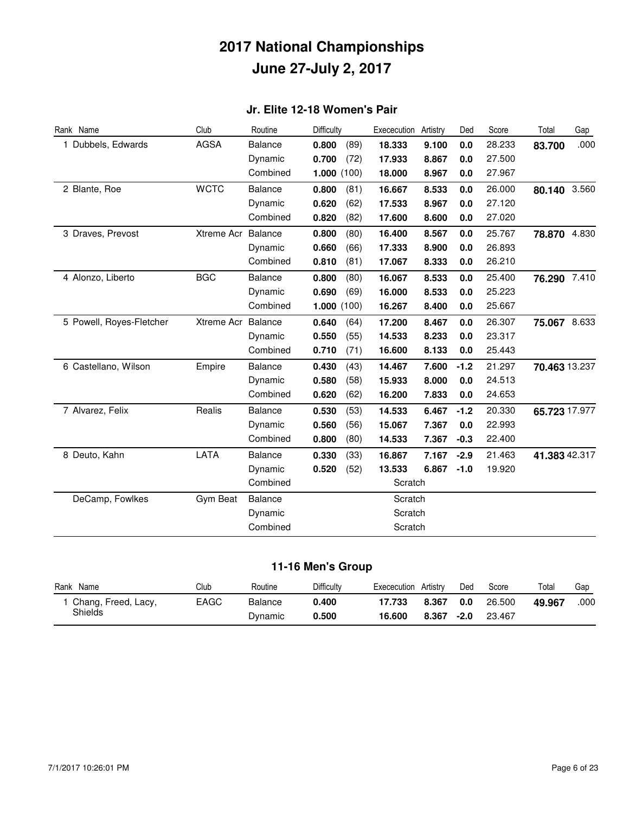### **Jr. Elite 12-18 Women's Pair**

| Rank Name                | Club        | Routine        | Difficulty    | Exececution | Artistry | Ded    | Score  | Total         | Gap   |
|--------------------------|-------------|----------------|---------------|-------------|----------|--------|--------|---------------|-------|
| 1 Dubbels, Edwards       | <b>AGSA</b> | <b>Balance</b> | 0.800<br>(89) | 18.333      | 9.100    | 0.0    | 28.233 | 83.700        | .000  |
|                          |             | Dynamic        | 0.700<br>(72) | 17.933      | 8.867    | 0.0    | 27.500 |               |       |
|                          |             | Combined       | 1.000(100)    | 18.000      | 8.967    | 0.0    | 27.967 |               |       |
| 2 Blante, Roe            | <b>WCTC</b> | <b>Balance</b> | 0.800<br>(81) | 16.667      | 8.533    | 0.0    | 26.000 | 80.140        | 3.560 |
|                          |             | Dynamic        | 0.620<br>(62) | 17.533      | 8.967    | 0.0    | 27.120 |               |       |
|                          |             | Combined       | (82)<br>0.820 | 17.600      | 8.600    | 0.0    | 27.020 |               |       |
| 3 Draves, Prevost        | Xtreme Acr  | Balance        | 0.800<br>(80) | 16.400      | 8.567    | 0.0    | 25.767 | 78.870        | 4.830 |
|                          |             | Dynamic        | 0.660<br>(66) | 17.333      | 8.900    | 0.0    | 26.893 |               |       |
|                          |             | Combined       | (81)<br>0.810 | 17.067      | 8.333    | 0.0    | 26.210 |               |       |
| 4 Alonzo, Liberto        | <b>BGC</b>  | <b>Balance</b> | 0.800<br>(80) | 16.067      | 8.533    | 0.0    | 25.400 | 76.290 7.410  |       |
|                          |             | Dynamic        | 0.690<br>(69) | 16.000      | 8.533    | 0.0    | 25.223 |               |       |
|                          |             | Combined       | 1.000(100)    | 16.267      | 8.400    | 0.0    | 25.667 |               |       |
| 5 Powell, Royes-Fletcher | Xtreme Acr  | Balance        | 0.640<br>(64) | 17.200      | 8.467    | 0.0    | 26.307 | 75.067 8.633  |       |
|                          |             | Dynamic        | 0.550<br>(55) | 14.533      | 8.233    | 0.0    | 23.317 |               |       |
|                          |             | Combined       | 0.710<br>(71) | 16.600      | 8.133    | 0.0    | 25.443 |               |       |
| 6 Castellano, Wilson     | Empire      | Balance        | 0.430<br>(43) | 14.467      | 7.600    | $-1.2$ | 21.297 | 70.463 13.237 |       |
|                          |             | Dynamic        | 0.580<br>(58) | 15.933      | 8.000    | 0.0    | 24.513 |               |       |
|                          |             | Combined       | 0.620<br>(62) | 16.200      | 7.833    | 0.0    | 24.653 |               |       |
| 7 Alvarez, Felix         | Realis      | <b>Balance</b> | 0.530<br>(53) | 14.533      | 6.467    | $-1.2$ | 20.330 | 65.723 17.977 |       |
|                          |             | Dynamic        | (56)<br>0.560 | 15.067      | 7.367    | 0.0    | 22.993 |               |       |
|                          |             | Combined       | (80)<br>0.800 | 14.533      | 7.367    | $-0.3$ | 22.400 |               |       |
| 8 Deuto, Kahn            | LATA        | <b>Balance</b> | 0.330<br>(33) | 16.867      | 7.167    | $-2.9$ | 21.463 | 41.383 42.317 |       |
|                          |             | Dynamic        | 0.520<br>(52) | 13.533      | 6.867    | $-1.0$ | 19.920 |               |       |
|                          |             | Combined       |               | Scratch     |          |        |        |               |       |
| DeCamp, Fowlkes          | Gym Beat    | <b>Balance</b> |               | Scratch     |          |        |        |               |       |
|                          |             | Dynamic        |               | Scratch     |          |        |        |               |       |
|                          |             | Combined       |               | Scratch     |          |        |        |               |       |

#### **11-16 Men's Group**

| Rank Name           | Club | Routine | Difficulty | Artistrv<br>Exececution | Ded    | Score  | Total  | Gap  |
|---------------------|------|---------|------------|-------------------------|--------|--------|--------|------|
| Chang, Freed, Lacy, | EAGC | Balance | 0.400      | 17.733<br>8.367         | 0.0    | 26.500 | 49.967 | .000 |
| Shields             |      | Dynamic | 0.500      | 16.600<br>8.367         | $-2.0$ | 23.467 |        |      |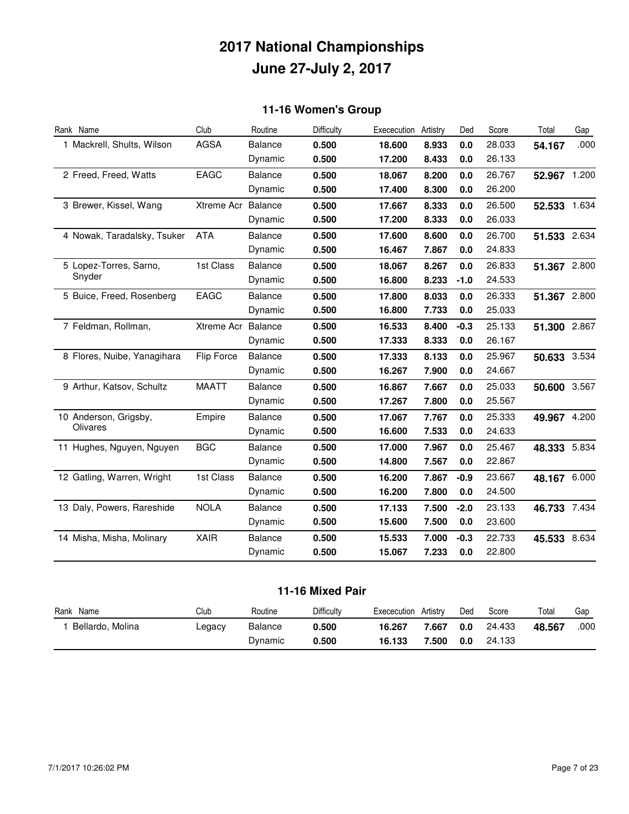### **11-16 Women's Group**

| Rank Name                   | Club               | Routine        | Difficulty | Exececution | Artistry | Ded    | Score  | Total        | Gap  |
|-----------------------------|--------------------|----------------|------------|-------------|----------|--------|--------|--------------|------|
| 1 Mackrell, Shults, Wilson  | <b>AGSA</b>        | <b>Balance</b> | 0.500      | 18.600      | 8.933    | 0.0    | 28.033 | 54.167       | .000 |
|                             |                    | Dynamic        | 0.500      | 17.200      | 8.433    | 0.0    | 26.133 |              |      |
| 2 Freed, Freed, Watts       | <b>EAGC</b>        | <b>Balance</b> | 0.500      | 18.067      | 8.200    | 0.0    | 26.767 | 52.967 1.200 |      |
|                             |                    | Dynamic        | 0.500      | 17.400      | 8.300    | 0.0    | 26.200 |              |      |
| 3 Brewer, Kissel, Wang      | <b>Xtreme Acr</b>  | Balance        | 0.500      | 17.667      | 8.333    | 0.0    | 26.500 | 52.533 1.634 |      |
|                             |                    | Dynamic        | 0.500      | 17.200      | 8.333    | 0.0    | 26.033 |              |      |
| 4 Nowak, Taradalsky, Tsuker | <b>ATA</b>         | <b>Balance</b> | 0.500      | 17.600      | 8.600    | 0.0    | 26.700 | 51.533 2.634 |      |
|                             |                    | Dynamic        | 0.500      | 16.467      | 7.867    | 0.0    | 24.833 |              |      |
| 5 Lopez-Torres, Sarno,      | 1st Class          | <b>Balance</b> | 0.500      | 18.067      | 8.267    | 0.0    | 26.833 | 51.367 2.800 |      |
| Snyder                      |                    | Dynamic        | 0.500      | 16.800      | 8.233    | $-1.0$ | 24.533 |              |      |
| 5 Buice, Freed, Rosenberg   | EAGC               | <b>Balance</b> | 0.500      | 17.800      | 8.033    | 0.0    | 26.333 | 51.367 2.800 |      |
|                             |                    | Dynamic        | 0.500      | 16.800      | 7.733    | 0.0    | 25.033 |              |      |
| 7 Feldman, Rollman,         | Xtreme Acr Balance |                | 0.500      | 16.533      | 8.400    | $-0.3$ | 25.133 | 51.300 2.867 |      |
|                             |                    | Dynamic        | 0.500      | 17.333      | 8.333    | 0.0    | 26.167 |              |      |
| 8 Flores, Nuibe, Yanagihara | Flip Force         | <b>Balance</b> | 0.500      | 17.333      | 8.133    | 0.0    | 25.967 | 50.633 3.534 |      |
|                             |                    | Dynamic        | 0.500      | 16.267      | 7.900    | 0.0    | 24.667 |              |      |
| 9 Arthur, Katsov, Schultz   | <b>MAATT</b>       | <b>Balance</b> | 0.500      | 16.867      | 7.667    | 0.0    | 25.033 | 50.600 3.567 |      |
|                             |                    | Dynamic        | 0.500      | 17.267      | 7.800    | 0.0    | 25.567 |              |      |
| 10 Anderson, Grigsby,       | Empire             | Balance        | 0.500      | 17.067      | 7.767    | 0.0    | 25.333 | 49.967 4.200 |      |
| Olivares                    |                    | Dynamic        | 0.500      | 16.600      | 7.533    | 0.0    | 24.633 |              |      |
| 11 Hughes, Nguyen, Nguyen   | <b>BGC</b>         | <b>Balance</b> | 0.500      | 17.000      | 7.967    | 0.0    | 25.467 | 48.333 5.834 |      |
|                             |                    | Dynamic        | 0.500      | 14.800      | 7.567    | 0.0    | 22.867 |              |      |
| 12 Gatling, Warren, Wright  | 1st Class          | <b>Balance</b> | 0.500      | 16.200      | 7.867    | $-0.9$ | 23.667 | 48.167 6.000 |      |
|                             |                    | Dynamic        | 0.500      | 16.200      | 7.800    | 0.0    | 24.500 |              |      |
| 13 Daly, Powers, Rareshide  | <b>NOLA</b>        | Balance        | 0.500      | 17.133      | 7.500    | $-2.0$ | 23.133 | 46.733 7.434 |      |
|                             |                    | Dynamic        | 0.500      | 15.600      | 7.500    | 0.0    | 23.600 |              |      |
| 14 Misha, Misha, Molinary   | <b>XAIR</b>        | <b>Balance</b> | 0.500      | 15.533      | 7.000    | $-0.3$ | 22.733 | 45.533 8.634 |      |
|                             |                    | Dynamic        | 0.500      | 15.067      | 7.233    | 0.0    | 22.800 |              |      |

#### **11-16 Mixed Pair**

| Rank<br>Name     | Club                 | Routine | Difficulty | Artistry<br>Exececution   | Ded | Score  | Total  | Gap  |
|------------------|----------------------|---------|------------|---------------------------|-----|--------|--------|------|
| Bellardo, Molina | $_{\texttt{L}$ egacy | Balance | 0.500      | 16.267<br>$^{\prime}.667$ | 0.0 | 24.433 | 48.567 | .000 |
|                  |                      | Dynamic | 0.500      | 16.133<br>.500            | 0.0 | 24.133 |        |      |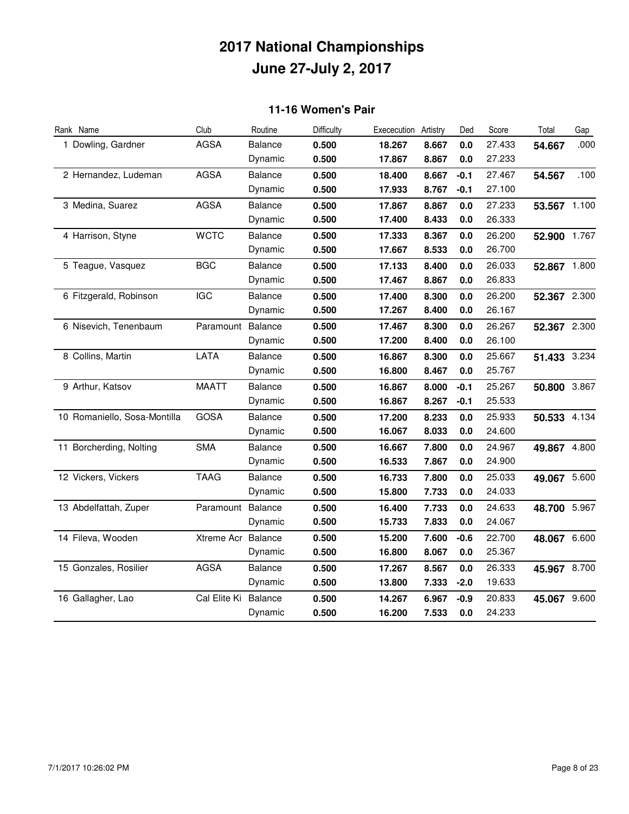#### **11-16 Women's Pair**

| Rank Name                    | Club               | Routine        | Difficulty | Exececution | Artistry | Ded    | Score  | Total        | Gap  |
|------------------------------|--------------------|----------------|------------|-------------|----------|--------|--------|--------------|------|
| 1 Dowling, Gardner           | <b>AGSA</b>        | Balance        | 0.500      | 18.267      | 8.667    | 0.0    | 27.433 | 54.667       | .000 |
|                              |                    | Dynamic        | 0.500      | 17.867      | 8.867    | 0.0    | 27.233 |              |      |
| 2 Hernandez, Ludeman         | <b>AGSA</b>        | <b>Balance</b> | 0.500      | 18.400      | 8.667    | $-0.1$ | 27.467 | 54.567       | .100 |
|                              |                    | Dynamic        | 0.500      | 17.933      | 8.767    | $-0.1$ | 27.100 |              |      |
| 3 Medina, Suarez             | <b>AGSA</b>        | Balance        | 0.500      | 17.867      | 8.867    | 0.0    | 27.233 | 53.567 1.100 |      |
|                              |                    | Dynamic        | 0.500      | 17.400      | 8.433    | 0.0    | 26.333 |              |      |
| 4 Harrison, Styne            | <b>WCTC</b>        | <b>Balance</b> | 0.500      | 17.333      | 8.367    | 0.0    | 26.200 | 52.900 1.767 |      |
|                              |                    | Dynamic        | 0.500      | 17.667      | 8.533    | 0.0    | 26.700 |              |      |
| 5 Teague, Vasquez            | <b>BGC</b>         | Balance        | 0.500      | 17.133      | 8.400    | 0.0    | 26.033 | 52.867 1.800 |      |
|                              |                    | Dynamic        | 0.500      | 17.467      | 8.867    | 0.0    | 26.833 |              |      |
| 6 Fitzgerald, Robinson       | <b>IGC</b>         | Balance        | 0.500      | 17.400      | 8.300    | 0.0    | 26.200 | 52.367 2.300 |      |
|                              |                    | Dynamic        | 0.500      | 17.267      | 8.400    | 0.0    | 26.167 |              |      |
| 6 Nisevich, Tenenbaum        | Paramount          | Balance        | 0.500      | 17.467      | 8.300    | 0.0    | 26.267 | 52.367 2.300 |      |
|                              |                    | Dynamic        | 0.500      | 17.200      | 8.400    | 0.0    | 26.100 |              |      |
| 8 Collins, Martin            | LATA               | <b>Balance</b> | 0.500      | 16.867      | 8.300    | 0.0    | 25.667 | 51.433 3.234 |      |
|                              |                    | Dynamic        | 0.500      | 16.800      | 8.467    | 0.0    | 25.767 |              |      |
| 9 Arthur, Katsov             | <b>MAATT</b>       | <b>Balance</b> | 0.500      | 16.867      | 8.000    | $-0.1$ | 25.267 | 50.800 3.867 |      |
|                              |                    | Dynamic        | 0.500      | 16.867      | 8.267    | $-0.1$ | 25.533 |              |      |
| 10 Romaniello, Sosa-Montilla | <b>GOSA</b>        | <b>Balance</b> | 0.500      | 17.200      | 8.233    | 0.0    | 25.933 | 50.533 4.134 |      |
|                              |                    | Dynamic        | 0.500      | 16.067      | 8.033    | 0.0    | 24.600 |              |      |
| 11 Borcherding, Nolting      | <b>SMA</b>         | <b>Balance</b> | 0.500      | 16.667      | 7.800    | 0.0    | 24.967 | 49.867 4.800 |      |
|                              |                    | Dynamic        | 0.500      | 16.533      | 7.867    | 0.0    | 24.900 |              |      |
| 12 Vickers, Vickers          | <b>TAAG</b>        | Balance        | 0.500      | 16.733      | 7.800    | 0.0    | 25.033 | 49.067 5.600 |      |
|                              |                    | Dynamic        | 0.500      | 15.800      | 7.733    | 0.0    | 24.033 |              |      |
| 13 Abdelfattah, Zuper        | Paramount          | Balance        | 0.500      | 16.400      | 7.733    | 0.0    | 24.633 | 48.700 5.967 |      |
|                              |                    | Dynamic        | 0.500      | 15.733      | 7.833    | 0.0    | 24.067 |              |      |
| 14 Fileva, Wooden            | Xtreme Acr Balance |                | 0.500      | 15.200      | 7.600    | $-0.6$ | 22.700 | 48.067 6.600 |      |
|                              |                    | Dynamic        | 0.500      | 16.800      | 8.067    | 0.0    | 25.367 |              |      |
| 15 Gonzales, Rosilier        | <b>AGSA</b>        | <b>Balance</b> | 0.500      | 17.267      | 8.567    | 0.0    | 26.333 | 45.967 8.700 |      |
|                              |                    | Dynamic        | 0.500      | 13.800      | 7.333    | $-2.0$ | 19.633 |              |      |
| 16 Gallagher, Lao            | Cal Elite Ki       | Balance        | 0.500      | 14.267      | 6.967    | $-0.9$ | 20.833 | 45.067 9.600 |      |
|                              |                    | Dynamic        | 0.500      | 16.200      | 7.533    | 0.0    | 24.233 |              |      |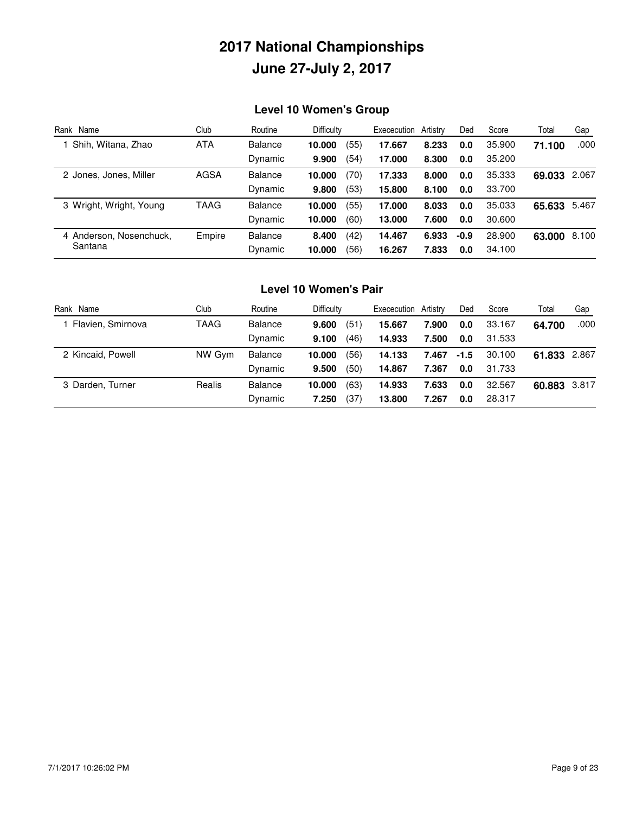### **Level 10 Women's Group**

| Rank Name                          | Club        | Routine        | <b>Difficulty</b> | Exececution | Artistry | Ded    | Score  | Total        | Gap   |
|------------------------------------|-------------|----------------|-------------------|-------------|----------|--------|--------|--------------|-------|
| 1 Shih, Witana, Zhao               | <b>ATA</b>  | Balance        | (55)<br>10.000    | 17.667      | 8.233    | 0.0    | 35.900 | 71.100       | .000  |
|                                    |             | Dynamic        | (54)<br>9.900     | 17.000      | 8.300    | 0.0    | 35.200 |              |       |
| 2 Jones, Jones, Miller             | <b>AGSA</b> | <b>Balance</b> | .70)<br>10.000    | 17.333      | 8.000    | 0.0    | 35.333 | 69.033 2.067 |       |
|                                    |             | Dynamic        | (53)<br>9.800     | 15,800      | 8.100    | 0.0    | 33.700 |              |       |
| 3 Wright, Wright, Young            | TAAG        | Balance        | (55)<br>10.000    | 17.000      | 8.033    | 0.0    | 35.033 | 65.633       | 5.467 |
|                                    |             | Dynamic        | (60)<br>10.000    | 13,000      | 7.600    | 0.0    | 30.600 |              |       |
| 4 Anderson, Nosenchuck,<br>Santana | Empire      | <b>Balance</b> | 8.400<br>(42)     | 14.467      | 6.933    | $-0.9$ | 28.900 | 63.000       | 8.100 |
|                                    |             | Dynamic        | (56)<br>10.000    | 16.267      | 7.833    | 0.0    | 34.100 |              |       |

#### **Level 10 Women's Pair**

| Rank Name         | Club   | Routine        | Difficulty     | Exececution | Artistry | Ded    | Score  | Total        | Gap   |
|-------------------|--------|----------------|----------------|-------------|----------|--------|--------|--------------|-------|
| Flavien, Smirnova | TAAG   | <b>Balance</b> | (51)<br>9.600  | 15.667      | 7.900    | 0.0    | 33.167 | 64.700       | .000  |
|                   |        | Dynamic        | (46)<br>9.100  | 14.933      | 7.500    | 0.0    | 31.533 |              |       |
| 2 Kincaid, Powell | NW Gym | <b>Balance</b> | (56)<br>10.000 | 14.133      | 7.467    | $-1.5$ | 30.100 | 61.833       | 2.867 |
|                   |        | Dynamic        | (50)<br>9.500  | 14.867      | 7.367    | 0.0    | 31.733 |              |       |
| 3 Darden, Turner  | Realis | <b>Balance</b> | (63)<br>10.000 | 14.933      | 7.633    | 0.0    | 32.567 | 60.883 3.817 |       |
|                   |        | Dynamic        | (37)<br>7.250  | 13,800      | 7.267    | 0.0    | 28.317 |              |       |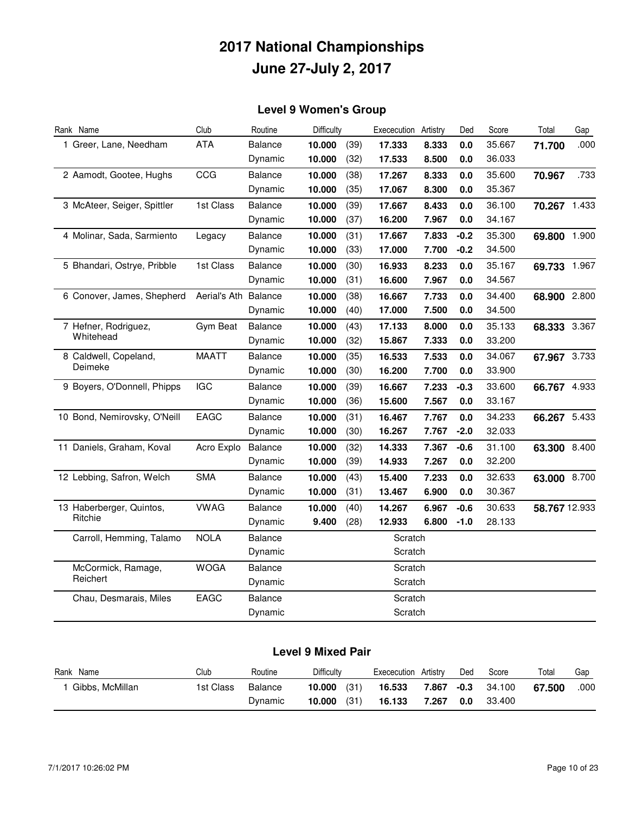### **Level 9 Women's Group**

| Rank Name                    | Club                 | Routine        | Difficulty |      | Exececution Artistry |       | Ded    | Score  | Total         | Gap  |
|------------------------------|----------------------|----------------|------------|------|----------------------|-------|--------|--------|---------------|------|
| 1 Greer, Lane, Needham       | <b>ATA</b>           | <b>Balance</b> | 10.000     | (39) | 17.333               | 8.333 | 0.0    | 35.667 | 71.700        | .000 |
|                              |                      | Dynamic        | 10.000     | (32) | 17.533               | 8.500 | 0.0    | 36.033 |               |      |
| 2 Aamodt, Gootee, Hughs      | CCG                  | <b>Balance</b> | 10.000     | (38) | 17.267               | 8.333 | 0.0    | 35.600 | 70.967        | .733 |
|                              |                      | Dynamic        | 10.000     | (35) | 17.067               | 8.300 | 0.0    | 35.367 |               |      |
| 3 McAteer, Seiger, Spittler  | 1st Class            | <b>Balance</b> | 10.000     | (39) | 17.667               | 8.433 | 0.0    | 36.100 | 70.267 1.433  |      |
|                              |                      | Dynamic        | 10.000     | (37) | 16.200               | 7.967 | 0.0    | 34.167 |               |      |
| 4 Molinar, Sada, Sarmiento   | Legacy               | <b>Balance</b> | 10.000     | (31) | 17.667               | 7.833 | $-0.2$ | 35.300 | 69.800 1.900  |      |
|                              |                      | Dynamic        | 10.000     | (33) | 17.000               | 7.700 | $-0.2$ | 34.500 |               |      |
| 5 Bhandari, Ostrye, Pribble  | 1st Class            | <b>Balance</b> | 10.000     | (30) | 16.933               | 8.233 | 0.0    | 35.167 | 69.733 1.967  |      |
|                              |                      | Dynamic        | 10.000     | (31) | 16.600               | 7.967 | 0.0    | 34.567 |               |      |
| 6 Conover, James, Shepherd   | Aerial's Ath Balance |                | 10.000     | (38) | 16.667               | 7.733 | 0.0    | 34.400 | 68.900 2.800  |      |
|                              |                      | Dynamic        | 10.000     | (40) | 17.000               | 7.500 | 0.0    | 34.500 |               |      |
| 7 Hefner, Rodriguez,         | Gym Beat             | Balance        | 10.000     | (43) | 17.133               | 8.000 | 0.0    | 35.133 | 68.333 3.367  |      |
| Whitehead                    |                      | Dynamic        | 10.000     | (32) | 15.867               | 7.333 | 0.0    | 33.200 |               |      |
| 8 Caldwell, Copeland,        | <b>MAATT</b>         | <b>Balance</b> | 10.000     | (35) | 16.533               | 7.533 | 0.0    | 34.067 | 67.967 3.733  |      |
| Deimeke                      |                      | Dynamic        | 10.000     | (30) | 16.200               | 7.700 | 0.0    | 33.900 |               |      |
| 9 Boyers, O'Donnell, Phipps  | <b>IGC</b>           | <b>Balance</b> | 10.000     | (39) | 16.667               | 7.233 | $-0.3$ | 33.600 | 66.767 4.933  |      |
|                              |                      | Dynamic        | 10.000     | (36) | 15.600               | 7.567 | 0.0    | 33.167 |               |      |
| 10 Bond, Nemirovsky, O'Neill | EAGC                 | <b>Balance</b> | 10.000     | (31) | 16.467               | 7.767 | 0.0    | 34.233 | 66.267 5.433  |      |
|                              |                      | Dynamic        | 10.000     | (30) | 16.267               | 7.767 | $-2.0$ | 32.033 |               |      |
| 11 Daniels, Graham, Koval    | Acro Explo           | <b>Balance</b> | 10.000     | (32) | 14.333               | 7.367 | $-0.6$ | 31.100 | 63.300 8.400  |      |
|                              |                      | Dynamic        | 10.000     | (39) | 14.933               | 7.267 | 0.0    | 32.200 |               |      |
| 12 Lebbing, Safron, Welch    | <b>SMA</b>           | <b>Balance</b> | 10.000     | (43) | 15.400               | 7.233 | 0.0    | 32.633 | 63.000 8.700  |      |
|                              |                      | Dynamic        | 10.000     | (31) | 13.467               | 6.900 | 0.0    | 30.367 |               |      |
| 13 Haberberger, Quintos,     | <b>VWAG</b>          | <b>Balance</b> | 10.000     | (40) | 14.267               | 6.967 | $-0.6$ | 30.633 | 58.767 12.933 |      |
| Ritchie                      |                      | Dynamic        | 9.400      | (28) | 12.933               | 6.800 | $-1.0$ | 28.133 |               |      |
| Carroll, Hemming, Talamo     | <b>NOLA</b>          | <b>Balance</b> |            |      | Scratch              |       |        |        |               |      |
|                              |                      | Dynamic        |            |      | Scratch              |       |        |        |               |      |
| McCormick, Ramage,           | <b>WOGA</b>          | <b>Balance</b> |            |      | Scratch              |       |        |        |               |      |
| Reichert                     |                      | Dynamic        |            |      | Scratch              |       |        |        |               |      |
| Chau, Desmarais, Miles       | EAGC                 | <b>Balance</b> |            |      | Scratch              |       |        |        |               |      |
|                              |                      | Dynamic        |            |      | Scratch              |       |        |        |               |      |

#### **Level 9 Mixed Pair**

| Rank Name       | Club      | Routine | Difficulty     | Exececution Artistry | Ded | Score  | Total  | Gap  |
|-----------------|-----------|---------|----------------|----------------------|-----|--------|--------|------|
| Gibbs. McMillan | 1st Class | Balance | (31)<br>10.000 | 16.533<br>7.867 -0.3 |     | 34.100 | 67.500 | .000 |
|                 |           | Dynamic | (31)<br>10.000 | 16.133<br>7.267      | 0.0 | 33.400 |        |      |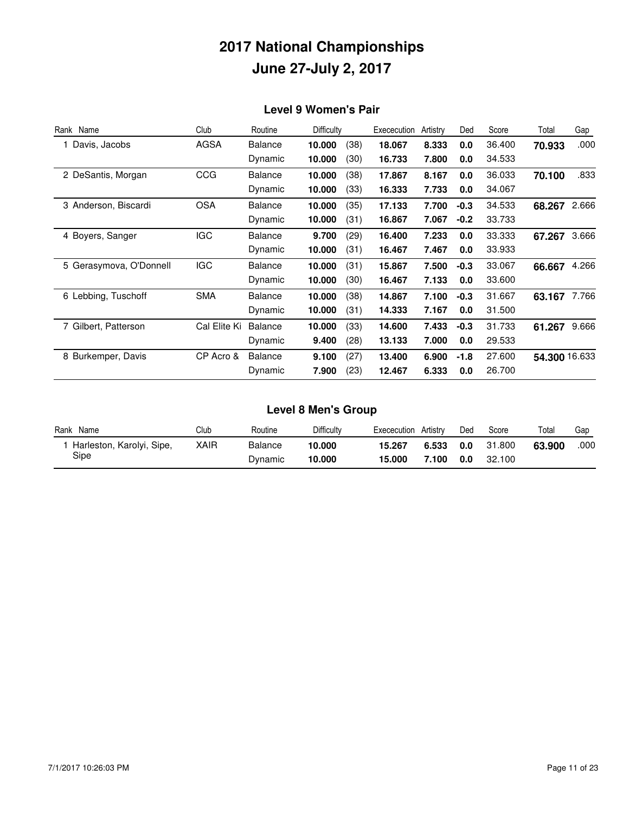#### **Level 9 Women's Pair**

| Rank Name               | Club         | Routine        | Difficulty |      | Exececution | Artistry | Ded    | Score  | Total         | Gap   |
|-------------------------|--------------|----------------|------------|------|-------------|----------|--------|--------|---------------|-------|
| 1 Davis, Jacobs         | <b>AGSA</b>  | <b>Balance</b> | 10.000     | (38) | 18.067      | 8.333    | 0.0    | 36.400 | 70.933        | .000  |
|                         |              | Dynamic        | 10.000     | (30) | 16.733      | 7.800    | 0.0    | 34.533 |               |       |
| 2 DeSantis, Morgan      | CCG          | <b>Balance</b> | 10.000     | (38) | 17.867      | 8.167    | 0.0    | 36.033 | 70.100        | .833  |
|                         |              | Dynamic        | 10.000     | (33) | 16.333      | 7.733    | 0.0    | 34.067 |               |       |
| 3 Anderson, Biscardi    | <b>OSA</b>   | <b>Balance</b> | 10.000     | (35) | 17.133      | 7.700    | $-0.3$ | 34.533 | 68.267        | 2.666 |
|                         |              | Dynamic        | 10.000     | (31) | 16.867      | 7.067    | $-0.2$ | 33.733 |               |       |
| 4 Boyers, Sanger        | <b>IGC</b>   | <b>Balance</b> | 9.700      | (29) | 16.400      | 7.233    | 0.0    | 33.333 | 67.267        | 3.666 |
|                         |              | Dynamic        | 10.000     | (31) | 16.467      | 7.467    | 0.0    | 33.933 |               |       |
| 5 Gerasymova, O'Donnell | <b>IGC</b>   | <b>Balance</b> | 10.000     | (31) | 15.867      | 7.500    | $-0.3$ | 33.067 | 66.667        | 4.266 |
|                         |              | Dynamic        | 10.000     | (30) | 16.467      | 7.133    | 0.0    | 33.600 |               |       |
| 6 Lebbing, Tuschoff     | <b>SMA</b>   | <b>Balance</b> | 10.000     | (38) | 14.867      | 7.100    | $-0.3$ | 31.667 | 63.167        | 7.766 |
|                         |              | Dynamic        | 10.000     | (31) | 14.333      | 7.167    | 0.0    | 31.500 |               |       |
| 7 Gilbert, Patterson    | Cal Elite Ki | <b>Balance</b> | 10.000     | (33) | 14.600      | 7.433    | $-0.3$ | 31.733 | 61.267        | 9.666 |
|                         |              | Dynamic        | 9.400      | (28) | 13.133      | 7.000    | 0.0    | 29.533 |               |       |
| 8 Burkemper, Davis      | CP Acro &    | <b>Balance</b> | 9.100      | (27) | 13.400      | 6.900    | $-1.8$ | 27.600 | 54.300 16.633 |       |
|                         |              | Dynamic        | 7.900      | (23) | 12.467      | 6.333    | 0.0    | 26.700 |               |       |

### **Level 8 Men's Group**

| Name<br>Rank              | Club | Routine | Difficulty | Artistrv<br>Exececution | Ded | Score  | Total  | Gap  |
|---------------------------|------|---------|------------|-------------------------|-----|--------|--------|------|
| Harleston, Karolyi, Sipe, | XAIR | Balance | 10.000     | 15.267<br>6.533         | 0.0 | 31.800 | 63.900 | .000 |
| Sipe                      |      | Dvnamic | 10.000     | 15.000<br>100٪          | 0.0 | 32.100 |        |      |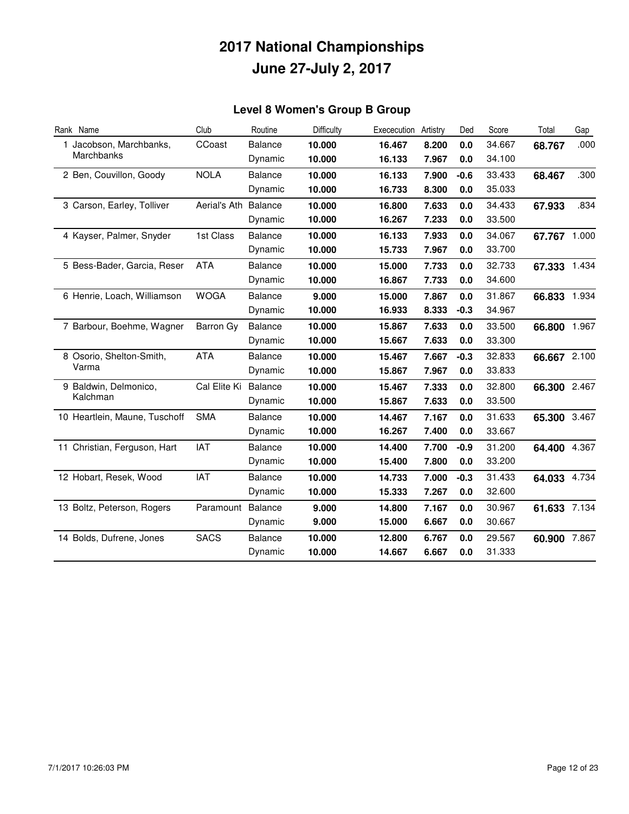### **Level 8 Women's Group B Group**

| Rank Name                     | Club         | Routine        | Difficulty | Exececution | Artistry | Ded    | Score  | Total        | Gap  |
|-------------------------------|--------------|----------------|------------|-------------|----------|--------|--------|--------------|------|
| 1 Jacobson, Marchbanks,       | CCoast       | <b>Balance</b> | 10.000     | 16.467      | 8.200    | 0.0    | 34.667 | 68.767       | .000 |
| Marchbanks                    |              | Dynamic        | 10.000     | 16.133      | 7.967    | 0.0    | 34.100 |              |      |
| 2 Ben, Couvillon, Goody       | <b>NOLA</b>  | <b>Balance</b> | 10.000     | 16.133      | 7.900    | $-0.6$ | 33.433 | 68.467       | .300 |
|                               |              | Dynamic        | 10.000     | 16.733      | 8.300    | 0.0    | 35.033 |              |      |
| 3 Carson, Earley, Tolliver    | Aerial's Ath | Balance        | 10.000     | 16.800      | 7.633    | 0.0    | 34.433 | 67.933       | .834 |
|                               |              | Dynamic        | 10.000     | 16.267      | 7.233    | 0.0    | 33.500 |              |      |
| 4 Kayser, Palmer, Snyder      | 1st Class    | <b>Balance</b> | 10.000     | 16.133      | 7.933    | 0.0    | 34.067 | 67.767 1.000 |      |
|                               |              | Dynamic        | 10.000     | 15.733      | 7.967    | 0.0    | 33.700 |              |      |
| 5 Bess-Bader, Garcia, Reser   | <b>ATA</b>   | Balance        | 10.000     | 15.000      | 7.733    | 0.0    | 32.733 | 67.333 1.434 |      |
|                               |              | Dynamic        | 10.000     | 16.867      | 7.733    | 0.0    | 34.600 |              |      |
| 6 Henrie, Loach, Williamson   | <b>WOGA</b>  | <b>Balance</b> | 9.000      | 15.000      | 7.867    | 0.0    | 31.867 | 66.833 1.934 |      |
|                               |              | Dynamic        | 10.000     | 16.933      | 8.333    | $-0.3$ | 34.967 |              |      |
| 7 Barbour, Boehme, Wagner     | Barron Gy    | <b>Balance</b> | 10.000     | 15.867      | 7.633    | 0.0    | 33.500 | 66.800 1.967 |      |
|                               |              | Dynamic        | 10.000     | 15.667      | 7.633    | 0.0    | 33.300 |              |      |
| 8 Osorio, Shelton-Smith,      | <b>ATA</b>   | <b>Balance</b> | 10.000     | 15.467      | 7.667    | $-0.3$ | 32.833 | 66.667 2.100 |      |
| Varma                         |              | Dynamic        | 10.000     | 15.867      | 7.967    | 0.0    | 33.833 |              |      |
| 9 Baldwin, Delmonico,         | Cal Elite Ki | Balance        | 10.000     | 15.467      | 7.333    | 0.0    | 32.800 | 66.300 2.467 |      |
| Kalchman                      |              | Dynamic        | 10.000     | 15.867      | 7.633    | 0.0    | 33.500 |              |      |
| 10 Heartlein, Maune, Tuschoff | <b>SMA</b>   | Balance        | 10.000     | 14.467      | 7.167    | 0.0    | 31.633 | 65.300 3.467 |      |
|                               |              | Dynamic        | 10.000     | 16.267      | 7.400    | 0.0    | 33.667 |              |      |
| 11 Christian, Ferguson, Hart  | <b>IAT</b>   | <b>Balance</b> | 10.000     | 14.400      | 7.700    | $-0.9$ | 31.200 | 64.400 4.367 |      |
|                               |              | Dynamic        | 10.000     | 15.400      | 7.800    | 0.0    | 33.200 |              |      |
| 12 Hobart, Resek, Wood        | <b>IAT</b>   | <b>Balance</b> | 10.000     | 14.733      | 7.000    | $-0.3$ | 31.433 | 64.033 4.734 |      |
|                               |              | Dynamic        | 10.000     | 15.333      | 7.267    | 0.0    | 32.600 |              |      |
| 13 Boltz, Peterson, Rogers    | Paramount    | Balance        | 9.000      | 14.800      | 7.167    | 0.0    | 30.967 | 61.633 7.134 |      |
|                               |              | Dynamic        | 9.000      | 15.000      | 6.667    | 0.0    | 30.667 |              |      |
| 14 Bolds, Dufrene, Jones      | <b>SACS</b>  | <b>Balance</b> | 10.000     | 12.800      | 6.767    | 0.0    | 29.567 | 60.900 7.867 |      |
|                               |              | Dynamic        | 10.000     | 14.667      | 6.667    | 0.0    | 31.333 |              |      |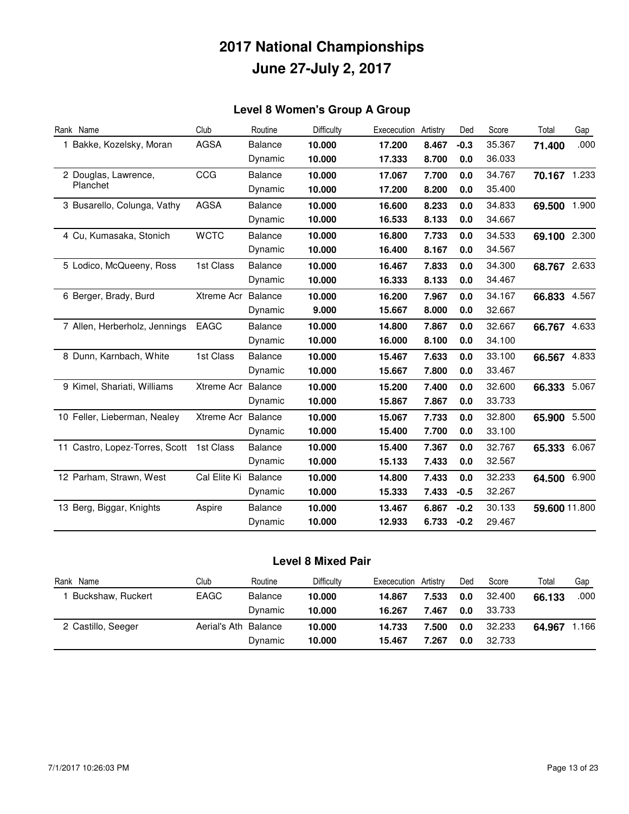### **Level 8 Women's Group A Group**

| Rank Name                      | Club               | Routine        | Difficulty | Exececution | Artistry | Ded    | Score  | Total         | Gap   |
|--------------------------------|--------------------|----------------|------------|-------------|----------|--------|--------|---------------|-------|
| 1 Bakke, Kozelsky, Moran       | <b>AGSA</b>        | <b>Balance</b> | 10.000     | 17.200      | 8.467    | $-0.3$ | 35.367 | 71.400        | .000  |
|                                |                    | Dynamic        | 10.000     | 17.333      | 8.700    | 0.0    | 36.033 |               |       |
| 2 Douglas, Lawrence,           | CCG                | <b>Balance</b> | 10.000     | 17.067      | 7.700    | 0.0    | 34.767 | 70.167 1.233  |       |
| Planchet                       |                    | Dynamic        | 10.000     | 17.200      | 8.200    | 0.0    | 35.400 |               |       |
| 3 Busarello, Colunga, Vathy    | <b>AGSA</b>        | <b>Balance</b> | 10.000     | 16.600      | 8.233    | 0.0    | 34.833 | 69.500 1.900  |       |
|                                |                    | Dynamic        | 10.000     | 16.533      | 8.133    | 0.0    | 34.667 |               |       |
| 4 Cu, Kumasaka, Stonich        | <b>WCTC</b>        | <b>Balance</b> | 10.000     | 16.800      | 7.733    | 0.0    | 34.533 | 69.100 2.300  |       |
|                                |                    | Dynamic        | 10.000     | 16.400      | 8.167    | 0.0    | 34.567 |               |       |
| 5 Lodico, McQueeny, Ross       | 1st Class          | <b>Balance</b> | 10.000     | 16.467      | 7.833    | 0.0    | 34.300 | 68.767 2.633  |       |
|                                |                    | Dynamic        | 10.000     | 16.333      | 8.133    | 0.0    | 34.467 |               |       |
| 6 Berger, Brady, Burd          | Xtreme Acr Balance |                | 10.000     | 16.200      | 7.967    | 0.0    | 34.167 | 66.833 4.567  |       |
|                                |                    | Dynamic        | 9.000      | 15.667      | 8.000    | 0.0    | 32.667 |               |       |
| 7 Allen, Herberholz, Jennings  | EAGC               | <b>Balance</b> | 10.000     | 14.800      | 7.867    | 0.0    | 32.667 | 66.767 4.633  |       |
|                                |                    | Dynamic        | 10.000     | 16.000      | 8.100    | 0.0    | 34.100 |               |       |
| 8 Dunn, Karnbach, White        | 1st Class          | <b>Balance</b> | 10.000     | 15.467      | 7.633    | 0.0    | 33.100 | 66.567 4.833  |       |
|                                |                    | Dynamic        | 10.000     | 15.667      | 7.800    | 0.0    | 33.467 |               |       |
| 9 Kimel, Shariati, Williams    | Xtreme Acr         | Balance        | 10.000     | 15.200      | 7.400    | 0.0    | 32.600 | 66.333 5.067  |       |
|                                |                    | Dynamic        | 10.000     | 15.867      | 7.867    | 0.0    | 33.733 |               |       |
| 10 Feller, Lieberman, Nealey   | Xtreme Acr         | Balance        | 10.000     | 15.067      | 7.733    | 0.0    | 32.800 | 65.900 5.500  |       |
|                                |                    | Dynamic        | 10.000     | 15.400      | 7.700    | 0.0    | 33.100 |               |       |
| 11 Castro, Lopez-Torres, Scott | 1st Class          | <b>Balance</b> | 10.000     | 15.400      | 7.367    | 0.0    | 32.767 | 65.333 6.067  |       |
|                                |                    | Dynamic        | 10.000     | 15.133      | 7.433    | 0.0    | 32.567 |               |       |
| 12 Parham, Strawn, West        | Cal Elite Ki       | <b>Balance</b> | 10.000     | 14.800      | 7.433    | 0.0    | 32.233 | 64.500        | 6.900 |
|                                |                    | Dynamic        | 10.000     | 15.333      | 7.433    | $-0.5$ | 32.267 |               |       |
| 13 Berg, Biggar, Knights       | Aspire             | <b>Balance</b> | 10.000     | 13.467      | 6.867    | $-0.2$ | 30.133 | 59.600 11.800 |       |
|                                |                    | Dynamic        | 10.000     | 12.933      | 6.733    | $-0.2$ | 29.467 |               |       |

#### **Level 8 Mixed Pair**

| Rank Name          | Club                 | Routine        | Difficulty | Exececution | Artistry | Ded | Score  | Total  | Gap  |
|--------------------|----------------------|----------------|------------|-------------|----------|-----|--------|--------|------|
| Buckshaw, Ruckert  | EAGC                 | <b>Balance</b> | 10.000     | 14.867      | 7.533    | 0.0 | 32.400 | 66.133 | .000 |
|                    |                      | Dynamic        | 10.000     | 16.267      | 7.467    | 0.0 | 33.733 |        |      |
| 2 Castillo, Seeger | Aerial's Ath Balance |                | 10.000     | 14.733      | 7.500    | 0.0 | 32.233 | 64.967 | .166 |
|                    |                      | Dynamic        | 10.000     | 15.467      | 7.267    | 0.0 | 32.733 |        |      |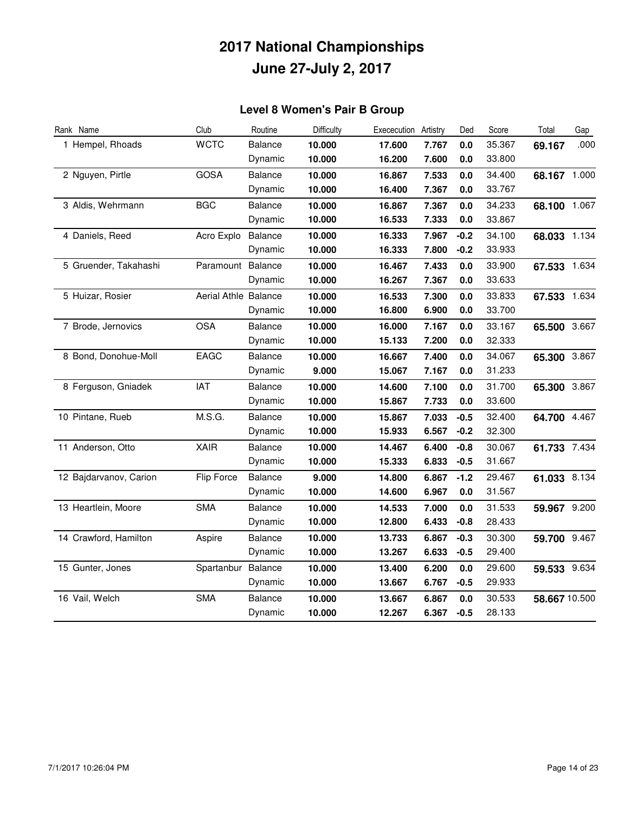### **Level 8 Women's Pair B Group**

| Rank Name              | Club                 | Routine        | Difficulty | Exececution | Artistry | Ded    | Score  | Total         | Gap  |
|------------------------|----------------------|----------------|------------|-------------|----------|--------|--------|---------------|------|
| 1 Hempel, Rhoads       | <b>WCTC</b>          | Balance        | 10.000     | 17.600      | 7.767    | 0.0    | 35.367 | 69.167        | .000 |
|                        |                      | Dynamic        | 10.000     | 16.200      | 7.600    | 0.0    | 33.800 |               |      |
| 2 Nguyen, Pirtle       | <b>GOSA</b>          | <b>Balance</b> | 10.000     | 16.867      | 7.533    | 0.0    | 34.400 | 68.167 1.000  |      |
|                        |                      | Dynamic        | 10.000     | 16.400      | 7.367    | 0.0    | 33.767 |               |      |
| 3 Aldis, Wehrmann      | <b>BGC</b>           | Balance        | 10.000     | 16.867      | 7.367    | 0.0    | 34.233 | 68.100 1.067  |      |
|                        |                      | Dynamic        | 10.000     | 16.533      | 7.333    | 0.0    | 33.867 |               |      |
| 4 Daniels, Reed        | Acro Explo           | Balance        | 10.000     | 16.333      | 7.967    | $-0.2$ | 34.100 | 68.033 1.134  |      |
|                        |                      | Dynamic        | 10.000     | 16.333      | 7.800    | $-0.2$ | 33.933 |               |      |
| 5 Gruender, Takahashi  | Paramount            | Balance        | 10.000     | 16.467      | 7.433    | 0.0    | 33.900 | 67.533 1.634  |      |
|                        |                      | Dynamic        | 10.000     | 16.267      | 7.367    | 0.0    | 33.633 |               |      |
| 5 Huizar, Rosier       | Aerial Athle Balance |                | 10.000     | 16.533      | 7.300    | 0.0    | 33.833 | 67.533 1.634  |      |
|                        |                      | Dynamic        | 10.000     | 16.800      | 6.900    | 0.0    | 33.700 |               |      |
| 7 Brode, Jernovics     | <b>OSA</b>           | Balance        | 10.000     | 16.000      | 7.167    | 0.0    | 33.167 | 65.500 3.667  |      |
|                        |                      | Dynamic        | 10.000     | 15.133      | 7.200    | 0.0    | 32.333 |               |      |
| 8 Bond, Donohue-Moll   | EAGC                 | <b>Balance</b> | 10.000     | 16.667      | 7.400    | 0.0    | 34.067 | 65.300 3.867  |      |
|                        |                      | Dynamic        | 9.000      | 15.067      | 7.167    | 0.0    | 31.233 |               |      |
| 8 Ferguson, Gniadek    | <b>IAT</b>           | Balance        | 10.000     | 14.600      | 7.100    | 0.0    | 31.700 | 65.300 3.867  |      |
|                        |                      | Dynamic        | 10.000     | 15.867      | 7.733    | 0.0    | 33.600 |               |      |
| 10 Pintane, Rueb       | M.S.G.               | <b>Balance</b> | 10.000     | 15.867      | 7.033    | $-0.5$ | 32.400 | 64.700 4.467  |      |
|                        |                      | Dynamic        | 10.000     | 15.933      | 6.567    | $-0.2$ | 32.300 |               |      |
| 11 Anderson, Otto      | <b>XAIR</b>          | <b>Balance</b> | 10.000     | 14.467      | 6.400    | $-0.8$ | 30.067 | 61.733 7.434  |      |
|                        |                      | Dynamic        | 10.000     | 15.333      | 6.833    | $-0.5$ | 31.667 |               |      |
| 12 Bajdarvanov, Carion | <b>Flip Force</b>    | Balance        | 9.000      | 14.800      | 6.867    | $-1.2$ | 29.467 | 61.033 8.134  |      |
|                        |                      | Dynamic        | 10.000     | 14.600      | 6.967    | 0.0    | 31.567 |               |      |
| 13 Heartlein, Moore    | <b>SMA</b>           | <b>Balance</b> | 10.000     | 14.533      | 7.000    | 0.0    | 31.533 | 59.967 9.200  |      |
|                        |                      | Dynamic        | 10.000     | 12.800      | 6.433    | $-0.8$ | 28.433 |               |      |
| 14 Crawford, Hamilton  | Aspire               | <b>Balance</b> | 10.000     | 13.733      | 6.867    | $-0.3$ | 30.300 | 59.700 9.467  |      |
|                        |                      | Dynamic        | 10.000     | 13.267      | 6.633    | $-0.5$ | 29.400 |               |      |
| 15 Gunter, Jones       | Spartanbur           | Balance        | 10.000     | 13.400      | 6.200    | 0.0    | 29.600 | 59.533 9.634  |      |
|                        |                      | Dynamic        | 10.000     | 13.667      | 6.767    | $-0.5$ | 29.933 |               |      |
| 16 Vail, Welch         | <b>SMA</b>           | Balance        | 10.000     | 13.667      | 6.867    | 0.0    | 30.533 | 58.667 10.500 |      |
|                        |                      | Dynamic        | 10.000     | 12.267      | 6.367    | $-0.5$ | 28.133 |               |      |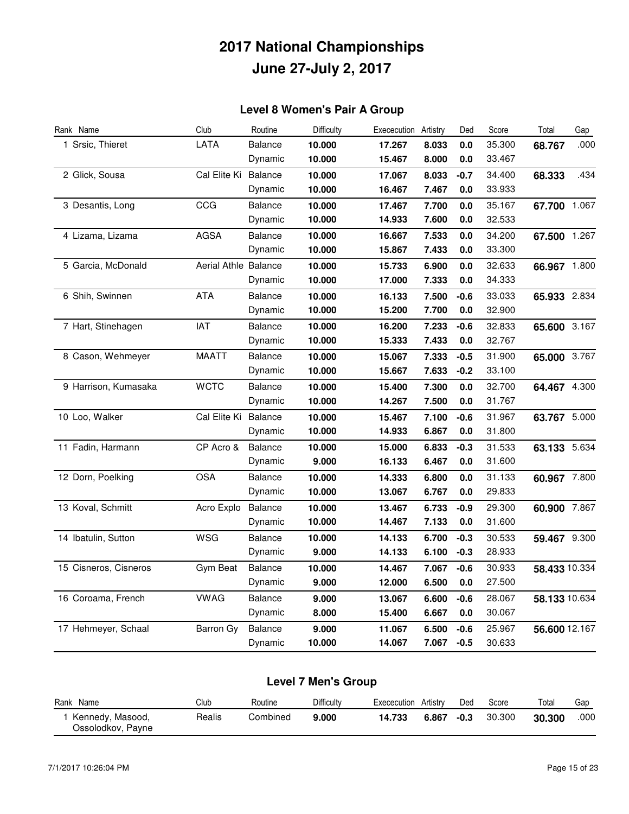### **Level 8 Women's Pair A Group**

| Rank Name             | Club                 | Routine        | Difficulty | Exececution | Artistry | Ded     | Score  | Total         | Gap   |
|-----------------------|----------------------|----------------|------------|-------------|----------|---------|--------|---------------|-------|
| 1 Srsic, Thieret      | LATA                 | Balance        | 10.000     | 17.267      | 8.033    | 0.0     | 35.300 | 68.767        | .000  |
|                       |                      | Dynamic        | 10.000     | 15.467      | 8.000    | 0.0     | 33.467 |               |       |
| 2 Glick, Sousa        | Cal Elite Ki         | <b>Balance</b> | 10.000     | 17.067      | 8.033    | $-0.7$  | 34.400 | 68.333        | .434  |
|                       |                      | Dynamic        | 10.000     | 16.467      | 7.467    | 0.0     | 33.933 |               |       |
| 3 Desantis, Long      | CCG                  | <b>Balance</b> | 10.000     | 17.467      | 7.700    | 0.0     | 35.167 | 67.700        | 1.067 |
|                       |                      | Dynamic        | 10.000     | 14.933      | 7.600    | 0.0     | 32.533 |               |       |
| 4 Lizama, Lizama      | <b>AGSA</b>          | <b>Balance</b> | 10.000     | 16.667      | 7.533    | 0.0     | 34.200 | 67.500 1.267  |       |
|                       |                      | Dynamic        | 10.000     | 15.867      | 7.433    | 0.0     | 33.300 |               |       |
| 5 Garcia, McDonald    | Aerial Athle Balance |                | 10.000     | 15.733      | 6.900    | 0.0     | 32.633 | 66.967 1.800  |       |
|                       |                      | Dynamic        | 10.000     | 17.000      | 7.333    | 0.0     | 34.333 |               |       |
| 6 Shih, Swinnen       | <b>ATA</b>           | <b>Balance</b> | 10.000     | 16.133      | 7.500    | $-0.6$  | 33.033 | 65.933 2.834  |       |
|                       |                      | Dynamic        | 10.000     | 15.200      | 7.700    | 0.0     | 32.900 |               |       |
| 7 Hart, Stinehagen    | <b>IAT</b>           | <b>Balance</b> | 10.000     | 16.200      | 7.233    | $-0.6$  | 32.833 | 65.600 3.167  |       |
|                       |                      | Dynamic        | 10.000     | 15.333      | 7.433    | 0.0     | 32.767 |               |       |
| 8 Cason, Wehmeyer     | <b>MAATT</b>         | Balance        | 10.000     | 15.067      | 7.333    | $-0.5$  | 31.900 | 65.000 3.767  |       |
|                       |                      | Dynamic        | 10.000     | 15.667      | 7.633    | $-0.2$  | 33.100 |               |       |
| 9 Harrison, Kumasaka  | <b>WCTC</b>          | <b>Balance</b> | 10.000     | 15.400      | 7.300    | 0.0     | 32.700 | 64.467 4.300  |       |
|                       |                      | Dynamic        | 10.000     | 14.267      | 7.500    | $0.0\,$ | 31.767 |               |       |
| 10 Loo, Walker        | Cal Elite Ki         | <b>Balance</b> | 10.000     | 15.467      | 7.100    | $-0.6$  | 31.967 | 63.767 5.000  |       |
|                       |                      | Dynamic        | 10.000     | 14.933      | 6.867    | 0.0     | 31.800 |               |       |
| 11 Fadin, Harmann     | CP Acro &            | <b>Balance</b> | 10.000     | 15.000      | 6.833    | $-0.3$  | 31.533 | 63.133 5.634  |       |
|                       |                      | Dynamic        | 9.000      | 16.133      | 6.467    | 0.0     | 31.600 |               |       |
| 12 Dorn, Poelking     | <b>OSA</b>           | <b>Balance</b> | 10.000     | 14.333      | 6.800    | 0.0     | 31.133 | 60.967 7.800  |       |
|                       |                      | Dynamic        | 10.000     | 13.067      | 6.767    | 0.0     | 29.833 |               |       |
| 13 Koval, Schmitt     | Acro Explo           | Balance        | 10.000     | 13.467      | 6.733    | $-0.9$  | 29.300 | 60.900 7.867  |       |
|                       |                      | Dynamic        | 10.000     | 14.467      | 7.133    | 0.0     | 31.600 |               |       |
| 14 Ibatulin, Sutton   | <b>WSG</b>           | <b>Balance</b> | 10.000     | 14.133      | 6.700    | $-0.3$  | 30.533 | 59.467 9.300  |       |
|                       |                      | Dynamic        | 9.000      | 14.133      | 6.100    | $-0.3$  | 28.933 |               |       |
| 15 Cisneros, Cisneros | Gym Beat             | <b>Balance</b> | 10.000     | 14.467      | 7.067    | $-0.6$  | 30.933 | 58.433 10.334 |       |
|                       |                      | Dynamic        | 9.000      | 12.000      | 6.500    | 0.0     | 27.500 |               |       |
| 16 Coroama, French    | <b>VWAG</b>          | <b>Balance</b> | 9.000      | 13.067      | 6.600    | $-0.6$  | 28.067 | 58.133 10.634 |       |
|                       |                      | Dynamic        | 8.000      | 15.400      | 6.667    | 0.0     | 30.067 |               |       |
| 17 Hehmeyer, Schaal   | Barron Gy            | <b>Balance</b> | 9.000      | 11.067      | 6.500    | -0.6    | 25.967 | 56.600 12.167 |       |
|                       |                      | Dynamic        | 10.000     | 14.067      | 7.067    | $-0.5$  | 30.633 |               |       |

| Level 7 Men's Group                   |        |          |            |                      |       |        |        |        |      |  |
|---------------------------------------|--------|----------|------------|----------------------|-------|--------|--------|--------|------|--|
| Rank Name                             | Club   | Routine  | Difficulty | Exececution Artistry |       | Ded    | Score  | Total  | Gap  |  |
| Kennedy, Masood,<br>Ossolodkov, Payne | Realis | Combined | 9.000      | 14.733               | 6.867 | $-0.3$ | 30.300 | 30.300 | .000 |  |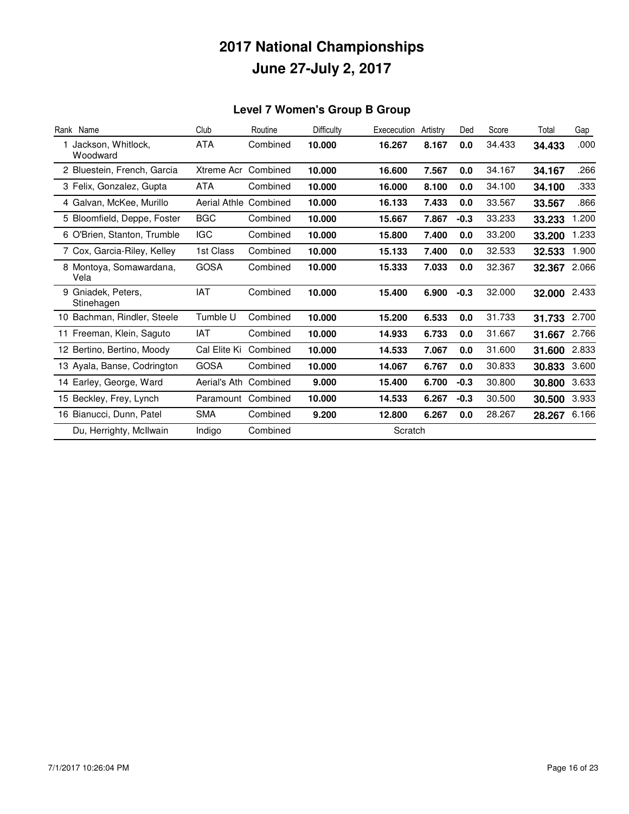### **Level 7 Women's Group B Group**

| Rank Name                        | Club                | Routine  | Difficulty | Exececution | Artistry | Ded    | Score  | Total  | Gap   |
|----------------------------------|---------------------|----------|------------|-------------|----------|--------|--------|--------|-------|
| Jackson, Whitlock,<br>Woodward   | <b>ATA</b>          | Combined | 10.000     | 16.267      | 8.167    | 0.0    | 34.433 | 34.433 | .000  |
| 2 Bluestein, French, Garcia      | Xtreme Acr          | Combined | 10.000     | 16.600      | 7.567    | 0.0    | 34.167 | 34.167 | .266  |
| 3 Felix, Gonzalez, Gupta         | ATA                 | Combined | 10.000     | 16.000      | 8.100    | 0.0    | 34.100 | 34.100 | .333  |
| 4 Galvan, McKee, Murillo         | <b>Aerial Athle</b> | Combined | 10.000     | 16.133      | 7.433    | 0.0    | 33.567 | 33.567 | .866  |
| 5 Bloomfield, Deppe, Foster      | <b>BGC</b>          | Combined | 10.000     | 15.667      | 7.867    | $-0.3$ | 33.233 | 33.233 | .200  |
| 6 O'Brien, Stanton, Trumble      | <b>IGC</b>          | Combined | 10.000     | 15.800      | 7.400    | 0.0    | 33.200 | 33.200 | 1.233 |
| 7 Cox, Garcia-Riley, Kelley      | 1st Class           | Combined | 10.000     | 15.133      | 7.400    | 0.0    | 32.533 | 32.533 | 1.900 |
| 8 Montoya, Somawardana,<br>Vela  | <b>GOSA</b>         | Combined | 10.000     | 15.333      | 7.033    | 0.0    | 32.367 | 32.367 | 2.066 |
| 9 Gniadek, Peters,<br>Stinehagen | IAT                 | Combined | 10.000     | 15.400      | 6.900    | $-0.3$ | 32.000 | 32.000 | 2.433 |
| 10 Bachman, Rindler, Steele      | Tumble U            | Combined | 10.000     | 15.200      | 6.533    | 0.0    | 31.733 | 31.733 | 2.700 |
| 11 Freeman, Klein, Saguto        | IAT                 | Combined | 10.000     | 14.933      | 6.733    | 0.0    | 31.667 | 31.667 | 2.766 |
| 12 Bertino, Bertino, Moody       | Cal Elite Ki        | Combined | 10.000     | 14.533      | 7.067    | 0.0    | 31.600 | 31.600 | 2.833 |
| 13 Ayala, Banse, Codrington      | <b>GOSA</b>         | Combined | 10.000     | 14.067      | 6.767    | 0.0    | 30.833 | 30.833 | 3.600 |
| 14 Earley, George, Ward          | Aerial's Ath        | Combined | 9.000      | 15.400      | 6.700    | $-0.3$ | 30.800 | 30.800 | 3.633 |
| 15 Beckley, Frey, Lynch          | Paramount           | Combined | 10.000     | 14.533      | 6.267    | $-0.3$ | 30.500 | 30.500 | 3.933 |
| 16 Bianucci, Dunn, Patel         | <b>SMA</b>          | Combined | 9.200      | 12.800      | 6.267    | 0.0    | 28.267 | 28.267 | 6.166 |
| Du, Herrighty, McIlwain          | Indigo              | Combined |            | Scratch     |          |        |        |        |       |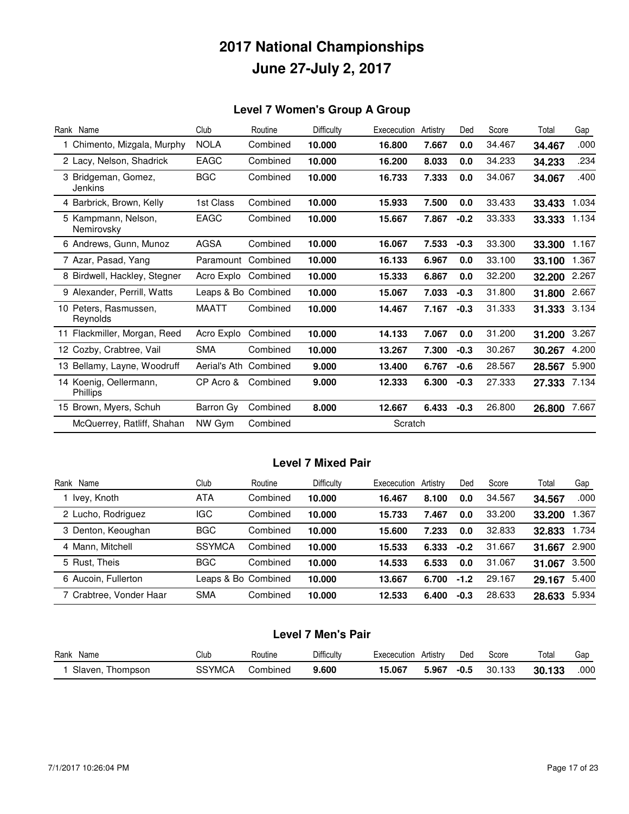### **Level 7 Women's Group A Group**

| Rank Name                                 | Club                | Routine  | Difficulty | Exececution | Artistry | Ded    | Score  | Total  | Gap   |
|-------------------------------------------|---------------------|----------|------------|-------------|----------|--------|--------|--------|-------|
| 1 Chimento, Mizgala, Murphy               | <b>NOLA</b>         | Combined | 10.000     | 16,800      | 7.667    | 0.0    | 34.467 | 34.467 | .000  |
| 2 Lacy, Nelson, Shadrick                  | EAGC                | Combined | 10.000     | 16.200      | 8.033    | 0.0    | 34.233 | 34.233 | .234  |
| 3 Bridgeman, Gomez,<br>Jenkins            | <b>BGC</b>          | Combined | 10.000     | 16.733      | 7.333    | 0.0    | 34.067 | 34.067 | .400  |
| 4 Barbrick, Brown, Kelly                  | 1st Class           | Combined | 10.000     | 15.933      | 7.500    | 0.0    | 33.433 | 33.433 | 1.034 |
| 5 Kampmann, Nelson,<br>Nemirovsky         | <b>EAGC</b>         | Combined | 10.000     | 15.667      | 7.867    | $-0.2$ | 33.333 | 33.333 | 1.134 |
| 6 Andrews, Gunn, Munoz                    | <b>AGSA</b>         | Combined | 10.000     | 16.067      | 7.533    | $-0.3$ | 33.300 | 33.300 | 1.167 |
| 7 Azar, Pasad, Yang                       | Paramount           | Combined | 10.000     | 16.133      | 6.967    | 0.0    | 33.100 | 33.100 | 1.367 |
| 8 Birdwell, Hackley, Stegner              | Acro Explo          | Combined | 10.000     | 15.333      | 6.867    | 0.0    | 32.200 | 32.200 | 2.267 |
| 9 Alexander, Perrill, Watts               | Leaps & Bo Combined |          | 10.000     | 15.067      | 7.033    | $-0.3$ | 31.800 | 31.800 | 2.667 |
| 10 Peters, Rasmussen,<br>Reynolds         | <b>MAATT</b>        | Combined | 10.000     | 14.467      | 7.167    | $-0.3$ | 31.333 | 31.333 | 3.134 |
| 11 Flackmiller, Morgan, Reed              | Acro Explo          | Combined | 10.000     | 14.133      | 7.067    | 0.0    | 31.200 | 31.200 | 3.267 |
| 12 Cozby, Crabtree, Vail                  | <b>SMA</b>          | Combined | 10.000     | 13.267      | 7.300    | $-0.3$ | 30.267 | 30.267 | 4.200 |
| 13 Bellamy, Layne, Woodruff               | Aerial's Ath        | Combined | 9.000      | 13.400      | 6.767    | $-0.6$ | 28.567 | 28.567 | 5.900 |
| 14 Koenig, Oellermann,<br><b>Phillips</b> | CP Acro &           | Combined | 9.000      | 12.333      | 6.300    | $-0.3$ | 27.333 | 27.333 | 7.134 |
| 15 Brown, Myers, Schuh                    | Barron Gy           | Combined | 8.000      | 12.667      | 6.433    | $-0.3$ | 26.800 | 26.800 | 7.667 |
| McQuerrey, Ratliff, Shahan                | NW Gym              | Combined |            | Scratch     |          |        |        |        |       |

### **Level 7 Mixed Pair**

| Name<br>Rank            | Club          | Routine             | Difficulty | Exececution | Artistry | Ded    | Score  | Total  | Gap   |
|-------------------------|---------------|---------------------|------------|-------------|----------|--------|--------|--------|-------|
| Ivey, Knoth             | <b>ATA</b>    | Combined            | 10.000     | 16.467      | 8.100    | 0.0    | 34.567 | 34.567 | .000  |
| 2 Lucho, Rodriguez      | <b>IGC</b>    | Combined            | 10.000     | 15.733      | 7.467    | 0.0    | 33,200 | 33.200 | .367  |
| 3 Denton, Keoughan      | <b>BGC</b>    | Combined            | 10.000     | 15.600      | 7.233    | 0.0    | 32.833 | 32,833 | 1.734 |
| 4 Mann, Mitchell        | <b>SSYMCA</b> | Combined            | 10.000     | 15.533      | 6.333    | $-0.2$ | 31.667 | 31.667 | 2.900 |
| 5 Rust. Theis           | <b>BGC</b>    | Combined            | 10.000     | 14.533      | 6.533    | 0.0    | 31.067 | 31.067 | 3.500 |
| 6 Aucoin, Fullerton     |               | Leaps & Bo Combined | 10.000     | 13.667      | 6.700    | $-1.2$ | 29.167 | 29.167 | 5.400 |
| 7 Crabtree, Vonder Haar | <b>SMA</b>    | Combined            | 10.000     | 12.533      | 6.400    | $-0.3$ | 28.633 | 28.633 | 5.934 |

| <b>Level 7 Men's Pair</b> |  |  |
|---------------------------|--|--|
|---------------------------|--|--|

| Rank<br>Name     | Club   | Routine  | Difficulty | Exececution | Artistry | Ded    | Score  | Total  | Gap  |
|------------------|--------|----------|------------|-------------|----------|--------|--------|--------|------|
| Slaven, Thompson | SSYMCA | Combined | 9.600      | 15.067      | 5.967    | $-0.5$ | 30.133 | 30.133 | .000 |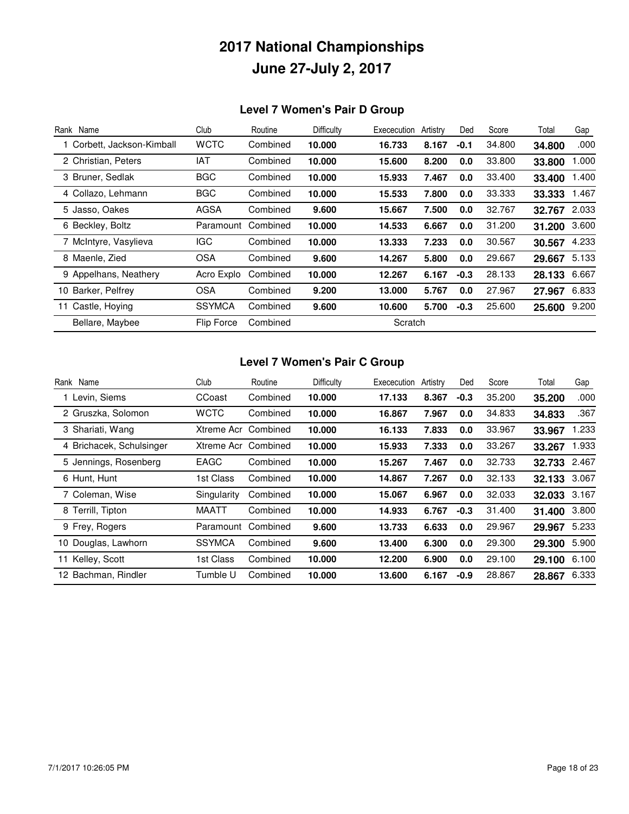### **Level 7 Women's Pair D Group**

| Rank Name                  | Club          | Routine  | Difficulty | Exececution | Artistry | Ded    | Score  | Total  | Gap   |
|----------------------------|---------------|----------|------------|-------------|----------|--------|--------|--------|-------|
| 1 Corbett, Jackson-Kimball | <b>WCTC</b>   | Combined | 10.000     | 16.733      | 8.167    | $-0.1$ | 34.800 | 34.800 | .000  |
| 2 Christian, Peters        | IAT           | Combined | 10.000     | 15.600      | 8.200    | 0.0    | 33.800 | 33.800 | 1.000 |
| 3 Bruner, Sedlak           | <b>BGC</b>    | Combined | 10.000     | 15.933      | 7.467    | 0.0    | 33.400 | 33.400 | 1.400 |
| 4 Collazo, Lehmann         | <b>BGC</b>    | Combined | 10.000     | 15.533      | 7.800    | 0.0    | 33.333 | 33.333 | 1.467 |
| 5 Jasso, Oakes             | AGSA          | Combined | 9.600      | 15.667      | 7.500    | 0.0    | 32.767 | 32.767 | 2.033 |
| 6 Beckley, Boltz           | Paramount     | Combined | 10.000     | 14.533      | 6.667    | 0.0    | 31.200 | 31.200 | 3.600 |
| 7 McIntyre, Vasylieva      | <b>IGC</b>    | Combined | 10.000     | 13.333      | 7.233    | 0.0    | 30.567 | 30.567 | 4.233 |
| 8 Maenle, Zied             | <b>OSA</b>    | Combined | 9.600      | 14.267      | 5.800    | 0.0    | 29.667 | 29.667 | 5.133 |
| 9 Appelhans, Neathery      | Acro Explo    | Combined | 10.000     | 12.267      | 6.167    | $-0.3$ | 28.133 | 28.133 | 6.667 |
| 10 Barker, Pelfrey         | OSA           | Combined | 9.200      | 13.000      | 5.767    | 0.0    | 27.967 | 27.967 | 6.833 |
| 11 Castle, Hoying          | <b>SSYMCA</b> | Combined | 9.600      | 10.600      | 5.700    | $-0.3$ | 25.600 | 25.600 | 9.200 |
| Bellare, Maybee            | Flip Force    | Combined |            | Scratch     |          |        |        |        |       |

#### **Level 7 Women's Pair C Group**

| Rank Name                | Club          | Routine  | Difficulty | Exececution | Artistry | Ded    | Score  | Total  | Gap   |
|--------------------------|---------------|----------|------------|-------------|----------|--------|--------|--------|-------|
| 1 Levin, Siems           | CCoast        | Combined | 10.000     | 17.133      | 8.367    | $-0.3$ | 35,200 | 35.200 | .000  |
| 2 Gruszka, Solomon       | <b>WCTC</b>   | Combined | 10.000     | 16.867      | 7.967    | 0.0    | 34.833 | 34.833 | .367  |
| 3 Shariati, Wang         | Xtreme Acr    | Combined | 10.000     | 16.133      | 7.833    | 0.0    | 33.967 | 33.967 | 1.233 |
| 4 Brichacek, Schulsinger | Xtreme Acr    | Combined | 10.000     | 15.933      | 7.333    | 0.0    | 33.267 | 33.267 | 1.933 |
| 5 Jennings, Rosenberg    | <b>EAGC</b>   | Combined | 10.000     | 15.267      | 7.467    | 0.0    | 32.733 | 32.733 | 2.467 |
| 6 Hunt, Hunt             | 1st Class     | Combined | 10.000     | 14.867      | 7.267    | 0.0    | 32.133 | 32.133 | 3.067 |
| 7 Coleman, Wise          | Singularity   | Combined | 10.000     | 15.067      | 6.967    | 0.0    | 32.033 | 32.033 | 3.167 |
| 8 Terrill, Tipton        | MAATT         | Combined | 10.000     | 14.933      | 6.767    | -0.3   | 31.400 | 31.400 | 3.800 |
| 9 Frey, Rogers           | Paramount     | Combined | 9.600      | 13.733      | 6.633    | 0.0    | 29.967 | 29.967 | 5.233 |
| 10 Douglas, Lawhorn      | <b>SSYMCA</b> | Combined | 9.600      | 13.400      | 6.300    | 0.0    | 29,300 | 29.300 | 5.900 |
| 11 Kelley, Scott         | 1st Class     | Combined | 10.000     | 12.200      | 6.900    | 0.0    | 29.100 | 29.100 | 6.100 |
| 12 Bachman, Rindler      | Tumble U      | Combined | 10.000     | 13.600      | 6.167    | $-0.9$ | 28.867 | 28.867 | 6.333 |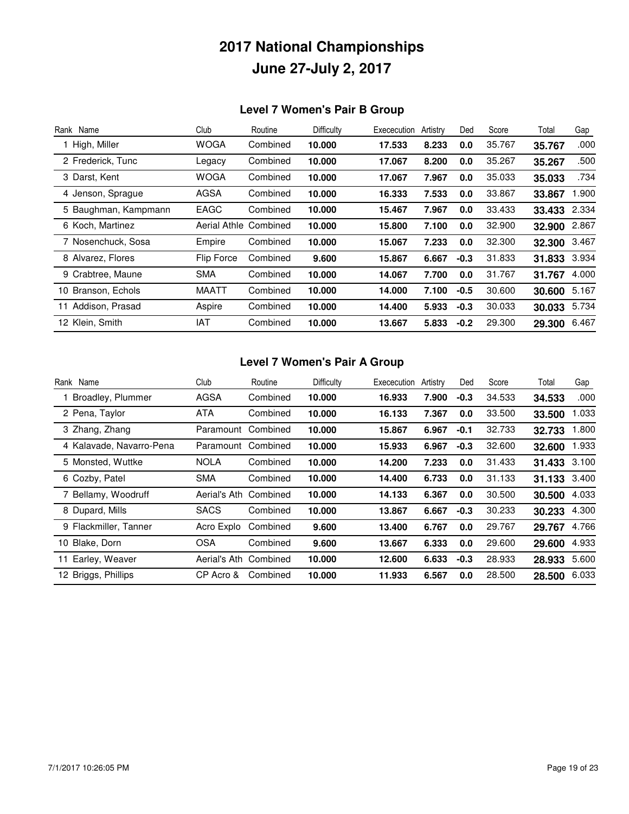### **Level 7 Women's Pair B Group**

| Rank Name            | Club                | Routine  | Difficulty | Exececution | Artistry | Ded    | Score  | Total  | Gap   |
|----------------------|---------------------|----------|------------|-------------|----------|--------|--------|--------|-------|
| 1 High, Miller       | <b>WOGA</b>         | Combined | 10.000     | 17.533      | 8.233    | 0.0    | 35.767 | 35.767 | .000  |
| 2 Frederick, Tunc    | Legacy              | Combined | 10.000     | 17.067      | 8.200    | 0.0    | 35.267 | 35.267 | .500  |
| 3 Darst, Kent        | <b>WOGA</b>         | Combined | 10.000     | 17.067      | 7.967    | 0.0    | 35.033 | 35.033 | .734  |
| 4 Jenson, Sprague    | <b>AGSA</b>         | Combined | 10.000     | 16.333      | 7.533    | 0.0    | 33.867 | 33.867 | 1.900 |
| 5 Baughman, Kampmann | <b>EAGC</b>         | Combined | 10.000     | 15.467      | 7.967    | 0.0    | 33.433 | 33.433 | 2.334 |
| 6 Koch, Martinez     | <b>Aerial Athle</b> | Combined | 10.000     | 15.800      | 7.100    | 0.0    | 32.900 | 32.900 | 2.867 |
| 7 Nosenchuck, Sosa   | Empire              | Combined | 10.000     | 15.067      | 7.233    | 0.0    | 32,300 | 32.300 | 3.467 |
| 8 Alvarez, Flores    | <b>Flip Force</b>   | Combined | 9.600      | 15.867      | 6.667    | $-0.3$ | 31.833 | 31.833 | 3.934 |
| 9 Crabtree, Maune    | <b>SMA</b>          | Combined | 10.000     | 14.067      | 7.700    | 0.0    | 31.767 | 31.767 | 4.000 |
| 10 Branson, Echols   | <b>MAATT</b>        | Combined | 10.000     | 14.000      | 7.100    | $-0.5$ | 30.600 | 30.600 | 5.167 |
| 11 Addison, Prasad   | Aspire              | Combined | 10.000     | 14.400      | 5.933    | $-0.3$ | 30.033 | 30.033 | 5.734 |
| 12 Klein, Smith      | IAT                 | Combined | 10.000     | 13.667      | 5.833    | $-0.2$ | 29,300 | 29.300 | 6.467 |

#### **Level 7 Women's Pair A Group**

| Rank Name                | Club         | Routine  | Difficulty | Exececution | Artistry | Ded    | Score  | Total  | Gap   |
|--------------------------|--------------|----------|------------|-------------|----------|--------|--------|--------|-------|
| Broadley, Plummer        | <b>AGSA</b>  | Combined | 10.000     | 16.933      | 7.900    | $-0.3$ | 34.533 | 34.533 | .000  |
| 2 Pena, Taylor           | ATA          | Combined | 10.000     | 16.133      | 7.367    | 0.0    | 33.500 | 33.500 | 1.033 |
| 3 Zhang, Zhang           | Paramount    | Combined | 10.000     | 15.867      | 6.967    | $-0.1$ | 32.733 | 32.733 | 1.800 |
| 4 Kalavade, Navarro-Pena | Paramount    | Combined | 10.000     | 15.933      | 6.967    | $-0.3$ | 32,600 | 32.600 | 1.933 |
| 5 Monsted, Wuttke        | <b>NOLA</b>  | Combined | 10.000     | 14.200      | 7.233    | 0.0    | 31.433 | 31.433 | 3.100 |
| 6 Cozby, Patel           | <b>SMA</b>   | Combined | 10.000     | 14.400      | 6.733    | 0.0    | 31.133 | 31.133 | 3.400 |
| 7 Bellamy, Woodruff      | Aerial's Ath | Combined | 10.000     | 14.133      | 6.367    | 0.0    | 30.500 | 30.500 | 4.033 |
| 8 Dupard, Mills          | <b>SACS</b>  | Combined | 10.000     | 13.867      | 6.667    | $-0.3$ | 30.233 | 30.233 | 4.300 |
| 9 Flackmiller, Tanner    | Acro Explo   | Combined | 9.600      | 13.400      | 6.767    | 0.0    | 29.767 | 29.767 | 4.766 |
| 10 Blake, Dorn           | <b>OSA</b>   | Combined | 9.600      | 13.667      | 6.333    | 0.0    | 29,600 | 29.600 | 4.933 |
| Earley, Weaver           | Aerial's Ath | Combined | 10.000     | 12.600      | 6.633    | $-0.3$ | 28.933 | 28.933 | 5.600 |
| 12 Briggs, Phillips      | CP Acro &    | Combined | 10.000     | 11.933      | 6.567    | 0.0    | 28,500 | 28,500 | 6.033 |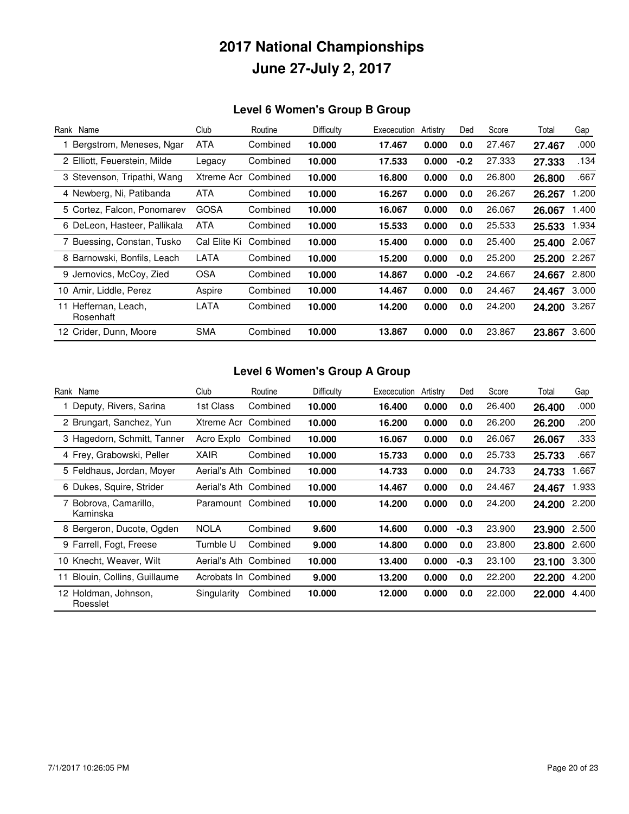### **Level 6 Women's Group B Group**

| Rank Name                            | Club         | Routine  | Difficulty | Exececution | Artistry | Ded    | Score  | Total  | Gap   |
|--------------------------------------|--------------|----------|------------|-------------|----------|--------|--------|--------|-------|
| Bergstrom, Meneses, Ngar             | <b>ATA</b>   | Combined | 10.000     | 17.467      | 0.000    | 0.0    | 27.467 | 27.467 | .000  |
| 2 Elliott, Feuerstein, Milde         | Legacy       | Combined | 10.000     | 17.533      | 0.000    | $-0.2$ | 27.333 | 27.333 | .134  |
| 3 Stevenson, Tripathi, Wang          | Xtreme Acr   | Combined | 10.000     | 16.800      | 0.000    | 0.0    | 26,800 | 26.800 | .667  |
| 4 Newberg, Ni, Patibanda             | ATA          | Combined | 10.000     | 16.267      | 0.000    | 0.0    | 26.267 | 26.267 | 1.200 |
| 5 Cortez, Falcon, Ponomarev          | <b>GOSA</b>  | Combined | 10.000     | 16.067      | 0.000    | 0.0    | 26.067 | 26.067 | 1.400 |
| 6 DeLeon, Hasteer, Pallikala         | <b>ATA</b>   | Combined | 10.000     | 15.533      | 0.000    | 0.0    | 25.533 | 25.533 | 1.934 |
| 7 Buessing, Constan, Tusko           | Cal Elite Ki | Combined | 10.000     | 15.400      | 0.000    | 0.0    | 25.400 | 25.400 | 2.067 |
| 8 Barnowski, Bonfils, Leach          | LATA         | Combined | 10.000     | 15.200      | 0.000    | 0.0    | 25,200 | 25.200 | 2.267 |
| 9 Jernovics, McCoy, Zied             | <b>OSA</b>   | Combined | 10.000     | 14.867      | 0.000    | $-0.2$ | 24.667 | 24.667 | 2.800 |
| 10 Amir, Liddle, Perez               | Aspire       | Combined | 10.000     | 14.467      | 0.000    | 0.0    | 24.467 | 24.467 | 3.000 |
| Heffernan, Leach,<br>11<br>Rosenhaft | LATA         | Combined | 10.000     | 14.200      | 0.000    | 0.0    | 24.200 | 24.200 | 3.267 |
| 12 Crider, Dunn, Moore               | <b>SMA</b>   | Combined | 10.000     | 13.867      | 0.000    | 0.0    | 23.867 | 23.867 | 3.600 |

### **Level 6 Women's Group A Group**

| Rank Name                         | Club                 | Routine  | Difficulty | Exececution | Artistry | Ded    | Score  | Total  | Gap   |
|-----------------------------------|----------------------|----------|------------|-------------|----------|--------|--------|--------|-------|
| Deputy, Rivers, Sarina            | 1st Class            | Combined | 10.000     | 16.400      | 0.000    | 0.0    | 26.400 | 26.400 | .000  |
| 2 Brungart, Sanchez, Yun          | Xtreme Acr           | Combined | 10.000     | 16.200      | 0.000    | 0.0    | 26,200 | 26.200 | .200  |
| 3 Hagedorn, Schmitt, Tanner       | Acro Explo           | Combined | 10.000     | 16.067      | 0.000    | 0.0    | 26.067 | 26.067 | .333  |
| 4 Frey, Grabowski, Peller         | <b>XAIR</b>          | Combined | 10.000     | 15.733      | 0.000    | 0.0    | 25.733 | 25.733 | .667  |
| 5 Feldhaus, Jordan, Moyer         | Aerial's Ath         | Combined | 10.000     | 14.733      | 0.000    | 0.0    | 24.733 | 24.733 | 1.667 |
| 6 Dukes, Squire, Strider          | Aerial's Ath         | Combined | 10.000     | 14.467      | 0.000    | 0.0    | 24.467 | 24.467 | 1.933 |
| 7 Bobrova, Camarillo,<br>Kaminska | Paramount Combined   |          | 10.000     | 14.200      | 0.000    | 0.0    | 24.200 | 24.200 | 2.200 |
| 8 Bergeron, Ducote, Ogden         | <b>NOLA</b>          | Combined | 9.600      | 14.600      | 0.000    | $-0.3$ | 23.900 | 23.900 | 2.500 |
| 9 Farrell, Fogt, Freese           | Tumble U             | Combined | 9.000      | 14.800      | 0.000    | 0.0    | 23,800 | 23,800 | 2.600 |
| 10 Knecht, Weaver, Wilt           | Aerial's Ath         | Combined | 10.000     | 13.400      | 0.000    | $-0.3$ | 23.100 | 23.100 | 3.300 |
| Blouin, Collins, Guillaume<br>11  | Acrobats In Combined |          | 9.000      | 13.200      | 0.000    | 0.0    | 22,200 | 22.200 | 4.200 |
| 12 Holdman, Johnson,<br>Roesslet  | Singularity          | Combined | 10.000     | 12.000      | 0.000    | 0.0    | 22,000 | 22,000 | 4.400 |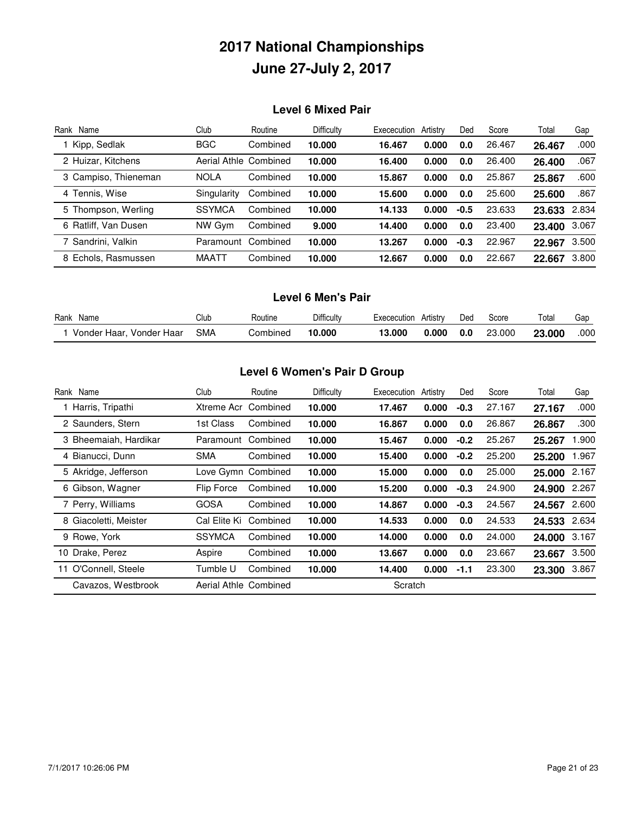#### **Level 6 Mixed Pair**

| Rank Name            | Club          | Routine               | Difficulty | Exececution | Artistry | Ded    | Score  | Total  | Gap   |
|----------------------|---------------|-----------------------|------------|-------------|----------|--------|--------|--------|-------|
| Kipp, Sedlak         | <b>BGC</b>    | Combined              | 10.000     | 16.467      | 0.000    | 0.0    | 26.467 | 26.467 | .000  |
| 2 Huizar, Kitchens   |               | Aerial Athle Combined | 10.000     | 16.400      | 0.000    | 0.0    | 26.400 | 26.400 | .067  |
| 3 Campiso, Thieneman | <b>NOLA</b>   | Combined              | 10.000     | 15.867      | 0.000    | 0.0    | 25.867 | 25.867 | .600  |
| 4 Tennis, Wise       | Singularity   | Combined              | 10.000     | 15.600      | 0.000    | 0.0    | 25.600 | 25.600 | .867  |
| 5 Thompson, Werling  | <b>SSYMCA</b> | Combined              | 10.000     | 14.133      | 0.000    | $-0.5$ | 23.633 | 23.633 | 2.834 |
| 6 Ratliff, Van Dusen | NW Gvm        | Combined              | 9.000      | 14.400      | 0.000    | 0.0    | 23,400 | 23.400 | 3.067 |
| 7 Sandrini, Valkin   | Paramount     | Combined              | 10.000     | 13.267      | 0.000    | $-0.3$ | 22.967 | 22.967 | 3.500 |
| 8 Echols, Rasmussen  | MAATT         | Combined              | 10.000     | 12.667      | 0.000    | 0.0    | 22.667 | 22.667 | 3.800 |

#### **Level 6 Men's Pair**

| Rank<br>Name                | Club | Routine  | Difficulty | Exececution | Artistrv | Ded | Score  | Total         | Gac  |
|-----------------------------|------|----------|------------|-------------|----------|-----|--------|---------------|------|
| Vonder Haar<br>Vonder Haar, | SMA  | Combined | 10.000     | 3.000       | 0.000    | 0.0 | 23.000 | <b>23.000</b> | .000 |

#### **Level 6 Women's Pair D Group**

| Rank Name               | Club                  | Routine  | Difficulty | Exececution | Artistry | Ded    | Score  | Total  | Gap   |
|-------------------------|-----------------------|----------|------------|-------------|----------|--------|--------|--------|-------|
| 1 Harris, Tripathi      | Xtreme Acr            | Combined | 10.000     | 17.467      | 0.000    | $-0.3$ | 27.167 | 27.167 | .000  |
| 2 Saunders, Stern       | 1st Class             | Combined | 10.000     | 16.867      | 0.000    | 0.0    | 26.867 | 26.867 | .300  |
| 3 Bheemaiah, Hardikar   | Paramount             | Combined | 10.000     | 15.467      | 0.000    | $-0.2$ | 25.267 | 25.267 | 1.900 |
| 4 Bianucci, Dunn        | <b>SMA</b>            | Combined | 10.000     | 15.400      | 0.000    | $-0.2$ | 25,200 | 25.200 | 1.967 |
| 5 Akridge, Jefferson    | Love Gymn Combined    |          | 10.000     | 15.000      | 0.000    | 0.0    | 25,000 | 25.000 | 2.167 |
| 6 Gibson, Wagner        | Flip Force            | Combined | 10.000     | 15.200      | 0.000    | $-0.3$ | 24.900 | 24.900 | 2.267 |
| 7 Perry, Williams       | <b>GOSA</b>           | Combined | 10.000     | 14.867      | 0.000    | $-0.3$ | 24.567 | 24.567 | 2.600 |
| 8 Giacoletti, Meister   | Cal Elite Ki          | Combined | 10.000     | 14.533      | 0.000    | 0.0    | 24.533 | 24.533 | 2.634 |
| 9 Rowe, York            | <b>SSYMCA</b>         | Combined | 10.000     | 14.000      | 0.000    | 0.0    | 24.000 | 24.000 | 3.167 |
| 10 Drake, Perez         | Aspire                | Combined | 10.000     | 13.667      | 0.000    | 0.0    | 23.667 | 23.667 | 3.500 |
| O'Connell, Steele<br>11 | Tumble U              | Combined | 10.000     | 14.400      | 0.000    | $-1.1$ | 23,300 | 23.300 | 3.867 |
| Cavazos, Westbrook      | Aerial Athle Combined |          |            | Scratch     |          |        |        |        |       |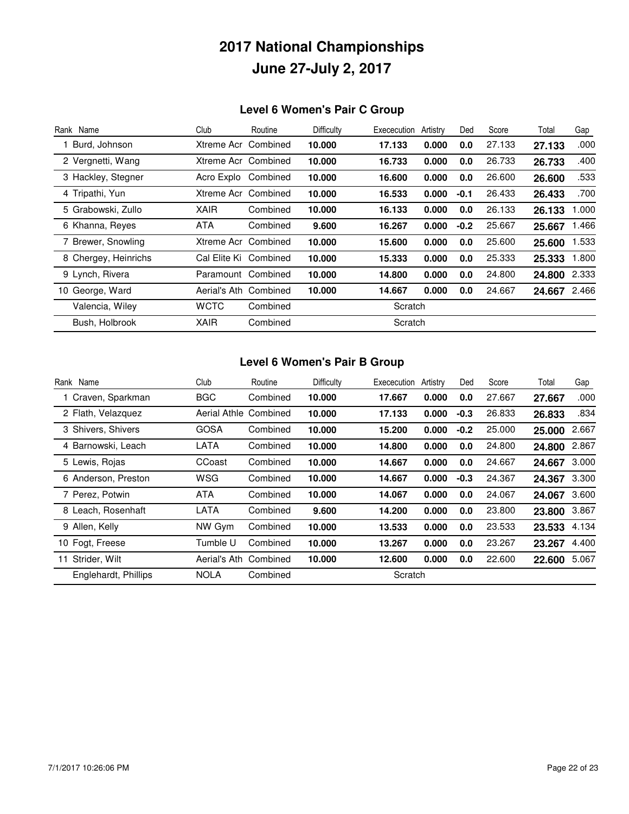### **Level 6 Women's Pair C Group**

| Rank Name            | Club                  | Routine  | Difficulty | Exececution | Artistry | Ded    | Score  | Total  | Gap   |
|----------------------|-----------------------|----------|------------|-------------|----------|--------|--------|--------|-------|
| Burd, Johnson        | Xtreme Acr Combined   |          | 10.000     | 17.133      | 0.000    | 0.0    | 27.133 | 27.133 | .000  |
| 2 Vergnetti, Wang    | Xtreme Acr Combined   |          | 10.000     | 16.733      | 0.000    | 0.0    | 26.733 | 26.733 | .400  |
| 3 Hackley, Stegner   | Acro Explo            | Combined | 10.000     | 16.600      | 0.000    | 0.0    | 26,600 | 26.600 | .533  |
| 4 Tripathi, Yun      | Xtreme Acr Combined   |          | 10.000     | 16.533      | 0.000    | $-0.1$ | 26.433 | 26.433 | .700  |
| 5 Grabowski, Zullo   | <b>XAIR</b>           | Combined | 10.000     | 16.133      | 0.000    | 0.0    | 26.133 | 26.133 | 1.000 |
| 6 Khanna, Reyes      | <b>ATA</b>            | Combined | 9.600      | 16.267      | 0.000    | $-0.2$ | 25.667 | 25.667 | 1.466 |
| 7 Brewer, Snowling   | Xtreme Acr            | Combined | 10.000     | 15.600      | 0.000    | 0.0    | 25,600 | 25.600 | 1.533 |
| 8 Chergey, Heinrichs | Cal Elite Ki Combined |          | 10.000     | 15.333      | 0.000    | 0.0    | 25.333 | 25.333 | 1.800 |
| 9 Lynch, Rivera      | Paramount             | Combined | 10.000     | 14.800      | 0.000    | 0.0    | 24.800 | 24.800 | 2.333 |
| 10 George, Ward      | Aerial's Ath Combined |          | 10.000     | 14.667      | 0.000    | 0.0    | 24.667 | 24.667 | 2.466 |
| Valencia, Wiley      | <b>WCTC</b>           | Combined |            | Scratch     |          |        |        |        |       |
| Bush, Holbrook       | XAIR                  | Combined |            | Scratch     |          |        |        |        |       |

#### **Level 6 Women's Pair B Group**

| Rank Name            | Club         | Routine               | Difficulty | Exececution | Artistry | Ded    | Score  | Total  | Gap   |
|----------------------|--------------|-----------------------|------------|-------------|----------|--------|--------|--------|-------|
| 1 Craven, Sparkman   | <b>BGC</b>   | Combined              | 10.000     | 17.667      | 0.000    | 0.0    | 27.667 | 27.667 | .000  |
| 2 Flath, Velazquez   |              | Aerial Athle Combined | 10,000     | 17.133      | 0.000    | $-0.3$ | 26.833 | 26.833 | .834  |
| 3 Shivers, Shivers   | <b>GOSA</b>  | Combined              | 10.000     | 15.200      | 0.000    | $-0.2$ | 25,000 | 25.000 | 2.667 |
| 4 Barnowski, Leach   | LATA         | Combined              | 10.000     | 14.800      | 0.000    | 0.0    | 24.800 | 24.800 | 2.867 |
| 5 Lewis, Rojas       | CCoast       | Combined              | 10,000     | 14.667      | 0.000    | 0.0    | 24.667 | 24.667 | 3.000 |
| 6 Anderson, Preston  | WSG          | Combined              | 10.000     | 14.667      | 0.000    | $-0.3$ | 24.367 | 24.367 | 3.300 |
| 7 Perez, Potwin      | ATA          | Combined              | 10.000     | 14.067      | 0.000    | 0.0    | 24.067 | 24.067 | 3.600 |
| 8 Leach, Rosenhaft   | LATA         | Combined              | 9.600      | 14.200      | 0.000    | 0.0    | 23.800 | 23.800 | 3.867 |
| 9 Allen, Kelly       | NW Gym       | Combined              | 10.000     | 13.533      | 0.000    | 0.0    | 23.533 | 23.533 | 4.134 |
| 10 Fogt, Freese      | Tumble U     | Combined              | 10,000     | 13.267      | 0.000    | 0.0    | 23.267 | 23.267 | 4.400 |
| Strider, Wilt<br>11  | Aerial's Ath | Combined              | 10,000     | 12.600      | 0.000    | 0.0    | 22.600 | 22.600 | 5.067 |
| Englehardt, Phillips | NOLA         | Combined              |            | Scratch     |          |        |        |        |       |